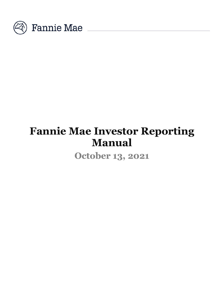

# **Fannie Mae Investor Reporting Manual**

**October 13, 2021**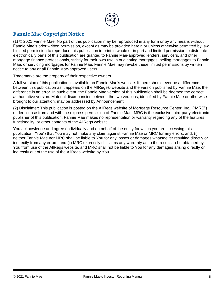

### **Fannie Mae Copyright Notice**

(1) © 2021 Fannie Mae. No part of this publication may be reproduced in any form or by any means without Fannie Mae's prior written permission, except as may be provided herein or unless otherwise permitted by law. Limited permission to reproduce this publication in print in whole or in part and limited permission to distribute electronically parts of this publication are granted to Fannie Mae-approved lenders, servicers, and other mortgage finance professionals, strictly for their own use in originating mortgages, selling mortgages to Fannie Mae, or servicing mortgages for Fannie Mae. Fannie Mae may revoke these limited permissions by written notice to any or all Fannie Mae-approved users.

Trademarks are the property of their respective owners.

A full version of this publication is available on Fannie Mae's website. If there should ever be a difference between this publication as it appears on the AllRegs® website and the version published by Fannie Mae, the difference is an error. In such event, the Fannie Mae version of this publication shall be deemed the correct authoritative version. Material discrepancies between the two versions, identified by Fannie Mae or otherwise brought to our attention, may be addressed by Announcement.

(2) Disclaimer: This publication is posted on the AllRegs website of Mortgage Resource Center, Inc., ("MRC") under license from and with the express permission of Fannie Mae. MRC is the exclusive third-party electronic publisher of this publication. Fannie Mae makes no representation or warranty regarding any of the features, functionality, or other contents of the AllRegs website.

You acknowledge and agree (individually and on behalf of the entity for which you are accessing this publication, "You") that You may not make any claim against Fannie Mae or MRC for any errors, and: (i) neither Fannie Mae nor MRC shall be liable to You for any losses or damages whatsoever resulting directly or indirectly from any errors, and (ii) MRC expressly disclaims any warranty as to the results to be obtained by You from use of the AllRegs website, and MRC shall not be liable to You for any damages arising directly or indirectly out of the use of the AllRegs website by You.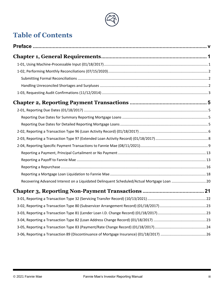# **Table of Contents**

| Recovering Advanced Interest on a Liquidated Delinquent Scheduled/Actual Mortgage Loan  20 |  |
|--------------------------------------------------------------------------------------------|--|
|                                                                                            |  |
|                                                                                            |  |
|                                                                                            |  |
|                                                                                            |  |
|                                                                                            |  |
|                                                                                            |  |
|                                                                                            |  |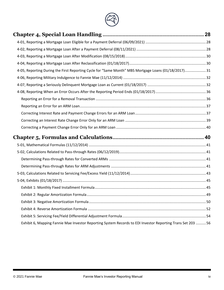

| 4-05, Reporting During the First Reporting Cycle for "Same Month" MBS Mortgage Loans (01/18/2017)31        |  |
|------------------------------------------------------------------------------------------------------------|--|
|                                                                                                            |  |
|                                                                                                            |  |
|                                                                                                            |  |
|                                                                                                            |  |
|                                                                                                            |  |
|                                                                                                            |  |
|                                                                                                            |  |
|                                                                                                            |  |
|                                                                                                            |  |
|                                                                                                            |  |
|                                                                                                            |  |
|                                                                                                            |  |
|                                                                                                            |  |
|                                                                                                            |  |
|                                                                                                            |  |
|                                                                                                            |  |
|                                                                                                            |  |
|                                                                                                            |  |
|                                                                                                            |  |
|                                                                                                            |  |
| Exhibit 6, Mapping Fannie Mae Investor Reporting System Records to EDI Investor Reporting Trans Set 203 56 |  |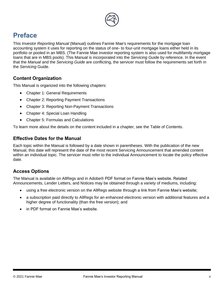

# <span id="page-4-0"></span>**Preface**

This *Investor Reporting Manual* (Manual) outlines Fannie Mae's requirements for the mortgage loan accounting system it uses for reporting on the status of one- to four-unit mortgage loans either held in its portfolio or pooled in an MBS. (The Fannie Mae investor reporting system is also used for multifamily mortgage loans that are in MBS pools). This Manual is incorporated into the *Servicing Guide* by reference. In the event that the *Manual* and the *Servicing Guide* are conflicting, the servicer must follow the requirements set forth in the *Servicing* Guide.

### **Content Organization**

This Manual is organized into the following chapters:

- Chapter 1: General Requirements
- Chapter 2: Reporting Payment Transactions
- Chapter 3: Reporting Non-Payment Transactions
- Chapter 4: Special Loan Handling
- Chapter 5: Formulas and Calculations

To learn more about the details on the content included in a chapter, see the Table of Contents.

### **Effective Dates for the Manual**

Each topic within the Manual is followed by a date shown in parentheses. With the publication of the new Manual, this date will represent the date of the most recent Servicing Announcement that amended content within an individual topic. The servicer must refer to the individual Announcement to locate the policy effective date.

### **Access Options**

The Manual is available on AllRegs and in Adobe® PDF format on Fannie Mae's website. Related Announcements, Lender Letters, and Notices may be obtained through a variety of mediums, including:

- using a free electronic version on the AllRegs website through a link from Fannie Mae's website;
- a subscription paid directly to AllRegs for an enhanced electronic version with additional features and a higher degree of functionality (than the free version); and
- in PDF format on Fannie Mae's website.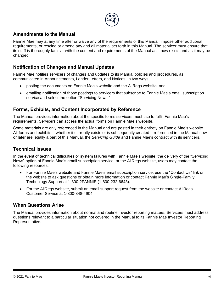

### **Amendments to the Manual**

Fannie Mae may at any time alter or waive any of the requirements of this Manual, impose other additional requirements, or rescind or amend any and all material set forth in this Manual. The servicer must ensure that its staff is thoroughly familiar with the content and requirements of the Manual as it now exists and as it may be changed.

### **Notification of Changes and Manual Updates**

Fannie Mae notifies servicers of changes and updates to its Manual policies and procedures, as communicated in Announcements, Lender Letters, and Notices, in two ways:

- posting the documents on Fannie Mae's website and the AllRegs website, and
- emailing notification of those postings to servicers that subscribe to Fannie Mae's email subscription service and select the option "Servicing News."

### **Forms, Exhibits, and Content Incorporated by Reference**

The Manual provides information about the specific forms servicers must use to fulfill Fannie Mae's requirements. Servicers can access the actual forms on Fannie Mae's website.

Some materials are only referenced in the Manual and are posted in their entirety on Fannie Mae's website. All forms and exhibits – whether it currently exists or is subsequently created – referenced in the Manual now or later are legally a part of this Manual, the *Servicing Guide* and Fannie Mae's contract with its servicers.

### **Technical Issues**

In the event of technical difficulties or system failures with Fannie Mae's website, the delivery of the "Servicing News" option of Fannie Mae's email subscription service, or the AllRegs website, users may contact the following resources:

- For Fannie Mae's website and Fannie Mae's email subscription service, use the "Contact Us" link on the website to ask questions or obtain more information or contact Fannie Mae's Single-Family Technology Support at 1-800-2FANNIE (1-800-232-6643).
- For the AllRegs website, submit an email support request from the website or contact AllRegs Customer Service at 1-800-848-4904.

### **When Questions Arise**

The Manual provides information about normal and routine investor reporting matters. Servicers must address questions relevant to a particular situation not covered in the Manual to its Fannie Mae Investor Reporting Representative.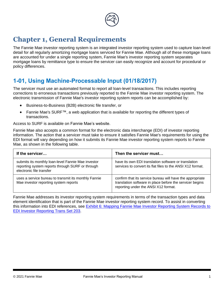

# <span id="page-6-0"></span>**Chapter 1, General Requirements**

The Fannie Mae investor reporting system is an integrated investor reporting system used to capture loan-level detail for all regularly amortizing mortgage loans serviced for Fannie Mae. Although all of these mortgage loans are accounted for under a single reporting system, Fannie Mae's investor reporting system separates mortgage loans by remittance type to ensure the servicer can easily recognize and account for procedural or policy differences.

# <span id="page-6-1"></span>**1-01, Using Machine-Processable Input (01/18/2017)**

The servicer must use an automated format to report all loan-level transactions. This includes reporting corrections to erroneous transactions previously reported to the Fannie Mae investor reporting system. The electronic transmission of Fannie Mae's investor reporting system reports can be accomplished by:

- Business-to-Business (B2B) electronic file transfer, or
- Fannie Mae's SURF™, a web application that is available for reporting the different types of transactions.

Access to SURF is available on Fannie Mae's website.

Fannie Mae also accepts a common format for the electronic data interchange (EDI) of investor reporting information. The action that a servicer must take to ensure it satisfies Fannie Mae's requirements for using the EDI format will vary depending on how it submits its Fannie Mae investor reporting system reports to Fannie Mae, as shown in the following table.

| If the servicer                                                                                                                    | Then the servicer must                                                                                                                                        |
|------------------------------------------------------------------------------------------------------------------------------------|---------------------------------------------------------------------------------------------------------------------------------------------------------------|
| submits its monthly loan-level Fannie Mae investor<br>reporting system reports through SURF or through<br>electronic file transfer | have its own EDI translation software or translation<br>services to convert its flat files to the ANSI X12 format.                                            |
| uses a service bureau to transmit its monthly Fannie<br>Mae investor reporting system reports                                      | confirm that its service bureau will have the appropriate<br>translation software in place before the servicer begins<br>reporting under the ANSI X12 format. |

Fannie Mae addresses its investor reporting system requirements in terms of the transaction types and data element identification that is part of the Fannie Mae investor reporting system record. To assist in converting this information into EDI references, see Exhibit 6: Mapping Fannie Mae Investor Reporting System Records to **[EDI Investor Reporting Trans Set 203](#page-61-0).**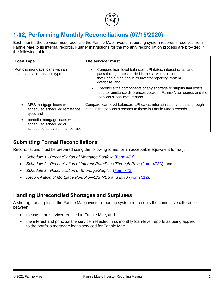

# <span id="page-7-0"></span>**1-02, Performing Monthly Reconciliations (07/15/2020)**

Each month, the servicer must reconcile the Fannie Mae investor reporting system records it receives from Fannie Mae to its internal records. Further instructions for the monthly reconciliation process are provided in the following table.

| Loan Type                                                                                     | The servicer must                                                                                                                                                                                     |  |  |
|-----------------------------------------------------------------------------------------------|-------------------------------------------------------------------------------------------------------------------------------------------------------------------------------------------------------|--|--|
| Portfolio mortgage loans with an<br>actual/actual remittance type                             | Compare loan-level balances, LPI dates, interest rates, and<br>pass-through rates carried in the servicer's records to those<br>that Fannie Mae has in its investor reporting system<br>database; and |  |  |
|                                                                                               | Reconcile the components of any shortage or surplus that exists<br>due to remittance differences between Fannie Mae records and the<br>servicer's loan-level reports.                                 |  |  |
| MBS mortgage loans with a<br>$\bullet$<br>scheduled/scheduled remittance<br>type, and         | Compare loan-level balances, LPI dates, interest rates, and pass-through<br>rates in the servicer's records to those in Fannie Mae's records.                                                         |  |  |
| portfolio mortgage loans with a<br>scheduled/scheduled or<br>scheduled/actual remittance type |                                                                                                                                                                                                       |  |  |

### <span id="page-7-1"></span>**Submitting Formal Reconciliations**

Reconciliations must be prepared using the following forms (or an acceptable equivalent format):

- *Schedule 1 Reconciliation of Mortgage Portfolio* [\(](https://www.fanniemae.com/content/guide_form/473.pdf)*[Form 473](https://www.fanniemae.com/content/guide_form/473.pdf)*),
- *Schedule 2 Reconciliation of Interest Rate/Pass-Through Rate* [\(](https://www.fanniemae.com/content/guide_form/473a.pdf)[Form 473A](https://www.fanniemae.com/content/guide_form/473a.pdf)), and
- *Schedule 3 Reconciliation of Shortage/Surplus* (*[Form 472](https://www.fanniemae.com/content/guide_form/472.pdf)*)
- *Reconciliation of Mortgage Portfolio—S/S MBS and MRS ([Form 512](https://www.fanniemae.com/content/guide_form/512.pdf)).*

### <span id="page-7-2"></span>**Handling Unreconciled Shortages and Surpluses**

A shortage or surplus in the Fannie Mae investor reporting system represents the cumulative difference between:

- the cash the servicer remitted to Fannie Mae, and
- the interest and principal the servicer reflected in its monthly loan-level reports as being applied to the portfolio mortgage loans serviced for Fannie Mae.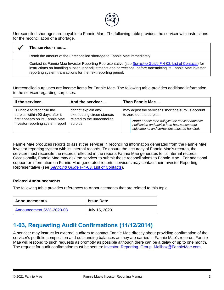

Unreconciled shortages are payable to Fannie Mae. The following table provides the servicer with instructions for the reconciliation of a shortage.

| The servicer must                                                                                                                                                                                                                                                                           |
|---------------------------------------------------------------------------------------------------------------------------------------------------------------------------------------------------------------------------------------------------------------------------------------------|
| Remit the amount of the unreconciled shortage to Fannie Mae immediately.                                                                                                                                                                                                                    |
| Contact its Fannie Mae Investor Reporting Representative (see Servicing Guide F-4-03, List of Contacts) for<br>Instructions on handling subsequent adjustments and corrections, before transmitting its Fannie Mae investor<br>reporting system transactions for the next reporting period. |

Unreconciled surpluses are income items for Fannie Mae. The following table provides additional information to the servicer regarding surpluses.

| If the servicer                                                                                                                      | And the servicer                                                                          | Then Fannie Mae                                                                                                                                                                                                                          |  |
|--------------------------------------------------------------------------------------------------------------------------------------|-------------------------------------------------------------------------------------------|------------------------------------------------------------------------------------------------------------------------------------------------------------------------------------------------------------------------------------------|--|
| is unable to reconcile the<br>surplus within 90 days after it<br>first appears on its Fannie Mae<br>investor reporting system report | cannot explain any<br>extenuating circumstances<br>related to the unreconciled<br>surplus | may adjust the servicer's shortage/surplus account<br>to zero out the surplus.<br><b>Note:</b> Fannie Mae will give the servicer advance<br>notification and advise it on how subsequent<br>adjustments and corrections must be handled. |  |

<span id="page-8-0"></span>Fannie Mae produces reports to assist the servicer in reconciling information generated from the Fannie Mae investor reporting system with its internal records. To ensure the accuracy of Fannie Mae's records, the servicer must reconcile the records reflected in the reports Fannie Mae generates to its internal records. Occasionally, Fannie Mae may ask the servicer to submit these reconciliations to Fannie Mae. For additional support or information on Fannie Mae-generated reports, servicers may contact their Investor Reporting Representative (see *[Servicing Guide](https://servicing-guide.fanniemae.com/THE-SERVICING-GUIDE/Part-F-Servicing-Guide-Procedures-Exhibits-Quick-Referen/Chapter-F-4-Servicing-Guide-Resources/F-4-03-List-of-Contacts/)* F-4[-03, List of Contacts](https://servicing-guide.fanniemae.com/THE-SERVICING-GUIDE/Part-F-Servicing-Guide-Procedures-Exhibits-Quick-Referen/Chapter-F-4-Servicing-Guide-Resources/F-4-03-List-of-Contacts/)).

#### **Related Announcements**

The following table provides references to Announcements that are related to this topic.

| <b>Announcements</b>     | <b>Issue Date</b> |
|--------------------------|-------------------|
| Announcement SVC-2020-03 | July 15, 2020     |

# **1-03, Requesting Audit Confirmations (11/12/2014)**

A servicer may instruct its external auditors to contact Fannie Mae directly about providing confirmation of the servicer's portfolio composition and outstanding balances as they are carried in Fannie Mae's records. Fannie Mae will respond to such requests as promptly as possible although there can be a delay of up to one month. The request for audit confirmation must be sent to: *Investor* Reporting Group Mailbox@FannieMae.com.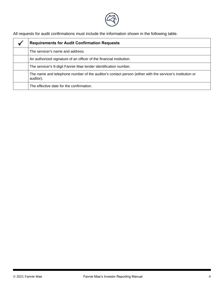

All requests for audit confirmations must include the information shown in the following table.

| <b>Requirements for Audit Confirmation Requests</b>                                                                   |
|-----------------------------------------------------------------------------------------------------------------------|
| The servicer's name and address.                                                                                      |
| An authorized signature of an officer of the financial institution.                                                   |
| The servicer's 9-digit Fannie Mae lender identification number.                                                       |
| The name and telephone number of the auditor's contact person (either with the servicer's institution or<br>auditor). |
| The effective date for the confirmation.                                                                              |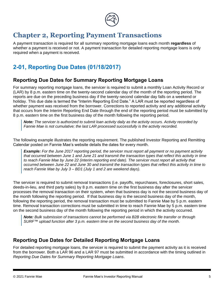

# <span id="page-10-0"></span>**Chapter 2, Reporting Payment Transactions**

A payment transaction is required for all summary reporting mortgage loans each month **regardless** of whether a payment is received or not. A payment transaction for detailed reporting mortgage loans is only required when a payment is received.

# <span id="page-10-1"></span>**2-01, Reporting Due Dates (01/18/2017)**

### <span id="page-10-2"></span>**Reporting Due Dates for Summary Reporting Mortgage Loans**

For summary reporting mortgage loans, the servicer is required to submit a monthly Loan Activity Record or (LAR) by 8 p.m. eastern time on the twenty-second calendar day of the month of the reporting period. The reports are due on the preceding business day if the twenty-second calendar day falls on a weekend or holiday. This due date is termed the "Interim Reporting End Date." A LAR must be reported regardless of whether payment was received from the borrower. Corrections to reported activity and any additional activity that occurs from the Interim Reporting End Date through the end of the reporting period must be submitted by 8 p.m. eastern time on the first business day of the month following the reporting period.

*Note: The servicer is authorized to submit loan activity daily as the activity occurs. Activity recorded by Fannie Mae is not cumulative; the last LAR processed successfully is the activity recorded.*

The following example illustrates the reporting requirement. The published Investor Reporting and Remitting Calendar posted on Fannie Mae's website details the dates for every month.

*Example: For the June 2017 reporting period, the servicer must report all payment or no payment activity that occurred between June 1 and June 21 and transmit the transaction types that reflect this activity in time to reach Fannie Mae by June 22 (interim reporting end date). The servicer must report all activity that occurred between June 22 and June 30 and transmit the transaction types that reflect this activity in time to reach Fannie Mae by July 3 – BD1 (July 1 and 2 are weekend days).*

The servicer is required to submit removal transactions (i.e. payoffs, repurchases, foreclosures, short sales, deeds-in-lieu, and third party sales) by 8 p.m. eastern time on the first business day after the servicer processes the removal transaction on their system, when that business day is not the second business day of the month following the reporting period. If that business day is the second business day of the month, following the reporting period, the removal transaction must be submitted to Fannie Mae by 5 p.m. eastern time. Removal transaction corrections must be submitted in time to reach Fannie Mae by 5 p.m. eastern time on the second business day of the month following the reporting period in which the activity occurred.

*Note: Bulk submission of transactions cannot be performed via B2B electronic file transfer or through SURF™ upload function after 3 p.m. eastern time on the second business day of the month.*

### <span id="page-10-3"></span>**Reporting Due Dates for Detailed Reporting Mortgage Loans**

For detailed reporting mortgage loans, the servicer is required to submit the payment activity as it is received from the borrower. Both a LAR 96 and a LAR 97 must be submitted in accordance with the timing outlined in *Reporting Due Dates for Summary Reporting Mortgage Loans*.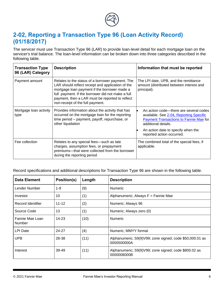

# <span id="page-11-0"></span>**2-02, Reporting a Transaction Type 96 (Loan Activity Record) (01/18/2017)**

The servicer must use Transaction Type 96 (LAR) to provide loan-level detail for each mortgage loan on the servicer's trial balance. The loan-level information can be broken down into three categories described in the following table.

| <b>Transaction Type</b><br>96 (LAR) Category | <b>Description</b>                                                                                                                                                                                                                                                                                | Information that must be reported                                                                                                                         |
|----------------------------------------------|---------------------------------------------------------------------------------------------------------------------------------------------------------------------------------------------------------------------------------------------------------------------------------------------------|-----------------------------------------------------------------------------------------------------------------------------------------------------------|
| Payment amount                               | Relates to the status of a borrower payment. The<br>LAR should reflect receipt and application of the<br>mortgage loan payment if the borrower made a<br>full payment. If the borrower did not make a full<br>payment, then a LAR must be reported to reflect<br>non-receipt of the full payment. | The LPI date, UPB, and the remittance<br>amount (distributed between interest and<br>principal).                                                          |
| Mortgage loan activity<br>type               | Provides information about the activity that has<br>occurred on the mortgage loan for the reporting<br>time period - payment, payoff, repurchase, or<br>other liquidation                                                                                                                         | An action code—there are several codes<br>available. See 2-04, Reporting Specific<br><b>Payment Transactions to Fannie Mae for</b><br>additional details. |
|                                              |                                                                                                                                                                                                                                                                                                   | An action date to specify when the<br>reported action occurred.                                                                                           |
| Fee collection                               | Relates to any special fees-such as late<br>charges, assumption fees, or prepayment<br>premiums-that were collected from the borrower<br>during the reporting period                                                                                                                              | The combined total of the special fees, if<br>applicable.                                                                                                 |

Record specifications and additional descriptions for Transaction Type 96 are shown in the following table.

| <b>Data Element</b>              | Position(s) | Length | <b>Description</b>                                                      |
|----------------------------------|-------------|--------|-------------------------------------------------------------------------|
| Lender Number                    | $1 - 9$     | (9)    | <b>Numeric</b>                                                          |
| Investor                         | 10          | (1)    | Alphanumeric; Always F = Fannie Mae                                     |
| Record Identifier                | $11 - 12$   | (2)    | Numeric; Always 96                                                      |
| Source Code                      | 13          | (1)    | Numeric; Always zero (0)                                                |
| Fannie Mae Loan<br><b>Number</b> | $14 - 23$   | (10)   | <b>Numeric</b>                                                          |
| LPI Date                         | 24-27       | (4)    | Numeric; MMYY format                                                    |
| <b>UPB</b>                       | 28-38       | (11)   | Alphanumeric; S9(9)V99; zone signed; code \$50,000.01 as<br>0000500000A |
| Interest                         | 39-49       | (11)   | Alphanumeric; S9(9)V99; zone signed; code \$800.02 as<br>0000008000B    |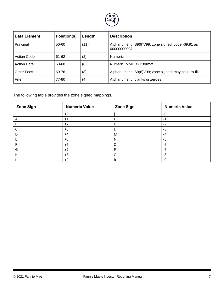

| <b>Data Element</b> | Position(s) | Length | <b>Description</b>                                                  |  |
|---------------------|-------------|--------|---------------------------------------------------------------------|--|
| Principal           | 50-60       | (11)   | Alphanumeric; S9(9)V99; zone signed; code -\$9.91 as<br>0000000099J |  |
| Action Code         | 61-62       | (2)    | <b>Numeric</b>                                                      |  |
| <b>Action Date</b>  | 63-68       | (6)    | Numeric; MMDDYY format                                              |  |
| <b>Other Fees</b>   | 69-76       | (8)    | Alphanumeric; S9(6)V99; zone signed; may be zero-filled             |  |
| Filler              | 77-80       | (4)    | Alphanumeric; blanks or zeroes                                      |  |

The following table provides the zone signed mappings.

| <b>Zone Sign</b> | <b>Numeric Value</b> | <b>Zone Sign</b> | <b>Numeric Value</b> |
|------------------|----------------------|------------------|----------------------|
|                  | $+0$                 |                  | $-0$                 |
|                  | $+1$                 |                  | -1                   |
| B                | $+2$                 | К                | $-2$                 |
|                  | $+3$                 | L                | $-3$                 |
|                  | $+4$                 | M                | $-4$                 |
|                  | $+5$                 | N                | $-5$                 |
|                  | $+6$                 | O                | -6                   |
| G                | $+7$                 | P                | $-7$                 |
| н                | $+8$                 | Q                | -8                   |
|                  | $+9$                 | R                | -9                   |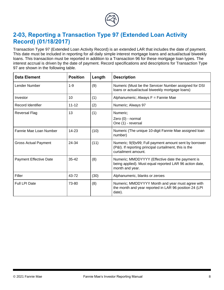

# <span id="page-13-0"></span>**2-03, Reporting a Transaction Type 97 (Extended Loan Activity Record) (01/18/2017)**

Transaction Type 97 (Extended Loan Activity Record) is an extended LAR that includes the date of payment. This date must be included in reporting for all daily simple interest mortgage loans and actual/actual biweekly loans. This transaction must be reported in addition to a Transaction 96 for these mortgage loan types. The interest accrual is driven by the date of payment. Record specifications and descriptions for Transaction Type 97 are shown in the following table.

| <b>Data Element</b>           | <b>Position</b> | Length | <b>Description</b>                                                                                                                      |
|-------------------------------|-----------------|--------|-----------------------------------------------------------------------------------------------------------------------------------------|
| Lender Number                 | $1 - 9$         | (9)    | Numeric (Must be the Servicer Number assigned for DSI<br>loans or actual/actual biweekly mortgage loans)                                |
| Investor                      | 10              | (1)    | Alphanumeric; Always F = Fannie Mae                                                                                                     |
| Record Identifier             | $11 - 12$       | (2)    | Numeric; Always 97                                                                                                                      |
| Reversal Flag                 | 13              | (1)    | Numeric;<br>Zero (0) - normal<br>One (1) - reversal                                                                                     |
| Fannie Mae Loan Number        | $14 - 23$       | (10)   | Numeric (The unique 10-digit Fannie Mae assigned Ioan<br>number)                                                                        |
| <b>Gross Actual Payment</b>   | 24-34           | (11)   | Numeric; 9(9)v99; Full payment amount sent by borrower<br>(P&I). If reporting principal curtailment, this is the<br>curtailment amount. |
| <b>Payment Effective Date</b> | $35-42$         | (8)    | Numeric; MMDDYYYY (Effective date the payment is<br>being applied). Must equal reported LAR 96 action date,<br>month and year.          |
| Filler                        | 43-72           | (30)   | Alphanumeric, blanks or zeroes                                                                                                          |
| Full LPI Date                 | 73-80           | (8)    | Numeric; MMDDYYYY Month and year must agree with<br>the month and year reported in LAR 96 position 24 (LPI<br>date).                    |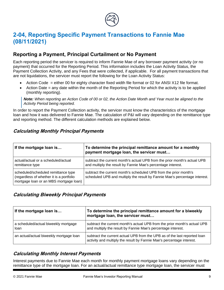

# <span id="page-14-0"></span>**2-04, Reporting Specific Payment Transactions to Fannie Mae (08/11/2021)**

### <span id="page-14-1"></span>**Reporting a Payment, Principal Curtailment or No Payment**

Each reporting period the servicer is required to inform Fannie Mae of any borrower payment activity (or no payment) that occurred for the Reporting Period. This information includes the Loan Activity Status, the Payment Collection Activity, and any Fees that were collected, if applicable. For all payment transactions that are not liquidations, the servicer must report the following for the Loan Activity Status:

- Action Code = either 00 for eighty character fixed width file format or 02 for ANSI X12 file format.
- Action Date = any date within the month of the Reporting Period for which the activity is to be applied (monthly reporting).

*Note: When reporting an Action Code of 00 or 02, the Action Date Month and Year must be aligned to the Activity Period being reported.*

In order to report the Payment Collection activity, the servicer must know the characteristics of the mortgage loan and how it was delivered to Fannie Mae. The calculation of P&I will vary depending on the remittance type and reporting method. The different calculation methods are explained below.

### **Calculating Monthly Principal Payments**

| If the mortgage loan is                                                                                                   | To determine the principal remittance amount for a monthly<br>payment mortgage loan, the servicer must                                          |
|---------------------------------------------------------------------------------------------------------------------------|-------------------------------------------------------------------------------------------------------------------------------------------------|
| actual/actual or a scheduled/actual<br>remittance type                                                                    | subtract the current month's actual UPB from the prior month's actual UPB<br>and multiply the result by Fannie Mae's percentage interest.       |
| scheduled/scheduled remittance type<br>(regardless of whether it is a portfolio<br>mortgage loan or an MBS mortgage loan) | subtract the current month's scheduled UPB from the prior month's<br>scheduled UPB and multiply the result by Fannie Mae's percentage interest. |

### **Calculating Biweekly Principal Payments**

| If the mortgage loan is                      | To determine the principal remittance amount for a biweekly<br>mortgage loan, the servicer must                                                    |
|----------------------------------------------|----------------------------------------------------------------------------------------------------------------------------------------------------|
| a scheduled/actual biweekly mortgage<br>loan | subtract the current month's actual UPB from the prior month's actual UPB<br>and multiply the result by Fannie Mae's percentage interest.          |
| an actual/actual biweekly mortgage loan      | subtract the current actual UPB from the UPB as of the last reported loan<br>activity and multiply the result by Fannie Mae's percentage interest. |

### **Calculating Monthly Interest Payments**

Interest payments due to Fannie Mae each month for monthly payment mortgage loans vary depending on the remittance type of the mortgage loan. For an actual/actual remittance type mortgage loan, the servicer must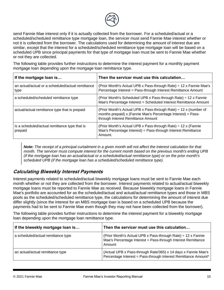

send Fannie Mae interest only if it is actually collected from the borrower. For a scheduled/actual or a scheduled/scheduled remittance type mortgage loan, the servicer must send Fannie Mae interest whether or not it is collected from the borrower. The calculations used for determining the amount of interest due are similar, except that the interest for a scheduled/scheduled remittance type mortgage loan will be based on a scheduled UPB since principal payments for that type of mortgage loan must be sent to Fannie Mae whether or not they are collected.

The following table provides further instructions to determine the interest payment for a monthly payment mortgage loan depending upon the mortgage loan remittance type.

| If the mortgage loan is                                   | Then the servicer must use this calculation                                                                                                                                 |
|-----------------------------------------------------------|-----------------------------------------------------------------------------------------------------------------------------------------------------------------------------|
| an actual/actual or a scheduled/actual remittance<br>type | (Prior Month's Actual UPB x Pass-through Rate) ÷ 12 x Fannie Mae's<br>Percentage Interest = Pass-through Interest Remittance Amount                                         |
| a scheduled/scheduled remittance type                     | (Prior Month's Scheduled UPB x Pass-through Rate) $\div$ 12 x Fannie<br>Mae's Percentage Interest = Scheduled Interest Remittance Amount                                    |
| actual/actual remittance type that is prepaid             | (Prior Month's Actual UPB x Pass-through Rate) $\div$ 12 x (number of<br>months prepaid) x (Fannie Mae's Percentage Interest) = Pass-<br>through Interest Remittance Amount |
| is a scheduled/actual remittance type that is<br>prepaid  | (Prior Month's Actual UPB x Pass-through Rate) $\div$ 12 x (Fannie<br>Mae's Percentage Interest) = Pass-through Interest Remittance<br>Amount.                              |

*Note: The receipt of a principal curtailment in a given month will not affect the interest calculation for that month. The servicer must compute interest for the current month based on the previous month's ending UPB (if the mortgage loan has an actual/actual or a scheduled/actual remittance type) or on the prior month's scheduled UPB (if the mortgage loan has a scheduled/scheduled remittance type).*

### **Calculating Biweekly Interest Payments**

Interest payments related to scheduled/actual biweekly mortgage loans must be sent to Fannie Mae each month whether or not they are collected from the borrower. Interest payments related to actual/actual biweekly mortgage loans must be reported to Fannie Mae as received. Because biweekly mortgage loans in Fannie Mae's portfolio are accounted for as the scheduled/actual and actual/actual remittance types and those in MBS pools as the scheduled/scheduled remittance type, the calculations for determining the amount of interest due differ slightly (since the interest for an MBS mortgage loan is based on a scheduled UPB because the payments had to be sent to Fannie Mae even though they may not have been collected from the borrower).

The following table provides further instructions to determine the interest payment for a biweekly mortgage loan depending upon the mortgage loan remittance type.

| If the biweekly mortgage loan is   | Then the servicer must use this calculation                                                                                            |
|------------------------------------|----------------------------------------------------------------------------------------------------------------------------------------|
| a scheduled/actual remittance type | (Prior Month's Actual UPB x Pass-through Rate) ÷ 12 x Fannie<br>Mae's Percentage Interest = Pass-through Interest Remittance<br>Amount |
| an actual/actual remittance type   | (Actual UPB x Pass-through Rate/365) x 14 days x Fannie Mae's<br>Percentage Interest = Pass-through Interest Remittance Amount*        |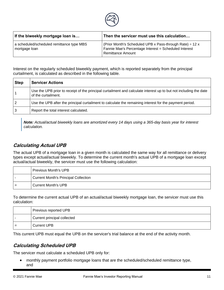

| If the biweekly mortgage loan is                           | Then the servicer must use this calculation                                                                                                 |
|------------------------------------------------------------|---------------------------------------------------------------------------------------------------------------------------------------------|
| a scheduled/scheduled remittance type MBS<br>mortgage loan | (Prior Month's Scheduled UPB x Pass-through Rate) $\div$ 12 x<br>Fannie Mae's Percentage Interest = Scheduled Interest<br>Remittance Amount |

Interest on the regularly scheduled biweekly payment, which is reported separately from the principal curtailment, is calculated as described in the following table.

| <b>Step</b>    | <b>Servicer Actions</b>                                                                                                                  |
|----------------|------------------------------------------------------------------------------------------------------------------------------------------|
|                | Use the UPB prior to receipt of the principal curtailment and calculate interest up to but not including the date<br>of the curtailment. |
| $\overline{2}$ | Use the UPB after the principal curtailment to calculate the remaining interest for the payment period.                                  |
| 3              | Report the total interest calculated.                                                                                                    |

*Note: Actual/actual biweekly loans are amortized every 14 days using a 365-day basis year for interest calculation.* 

### **Calculating Actual UPB**

The actual UPB of a mortgage loan in a given month is calculated the same way for all remittance or delivery types except actual/actual biweekly. To determine the current month's actual UPB of a mortgage loan except actual/actual biweekly, the servicer must use the following calculation:

|     | Previous Month's UPB                        |
|-----|---------------------------------------------|
|     | <b>Current Month's Principal Collection</b> |
| $=$ | Current Month's UPB                         |

To determine the current actual UPB of an actual/actual biweekly mortgage loan, the servicer must use this calculation:

|     | Previous reported UPB       |
|-----|-----------------------------|
|     | Current principal collected |
| $=$ | Current UPB                 |

This current UPB must equal the UPB on the servicer's trial balance at the end of the activity month.

### **Calculating Scheduled UPB**

The servicer must calculate a scheduled UPB only for:

• monthly payment portfolio mortgage loans that are the scheduled/scheduled remittance type, and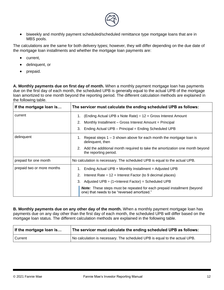

• biweekly and monthly payment scheduled/scheduled remittance type mortgage loans that are in MBS pools.

The calculations are the same for both delivery types; however, they will differ depending on the due date of the mortgage loan installments and whether the mortgage loan payments are:

- current,
- delinquent, or
- prepaid.

A. Monthly payments due on first day of month. When a monthly payment mortgage loan has payments due on the first day of each month, the scheduled UPB is generally equal to the actual UPB of the mortgage loan amortized to one month beyond the reporting period. The different calculation methods are explained in the following table.

| If the mortgage loan is    | The servicer must calculate the ending scheduled UPB as follows:                                                              |  |
|----------------------------|-------------------------------------------------------------------------------------------------------------------------------|--|
| current                    | (Ending Actual UPB x Note Rate) $\div$ 12 = Gross Interest Amount<br>1.                                                       |  |
|                            | 2.<br>Monthly Installment – Gross Interest Amount = Principal                                                                 |  |
|                            | Ending Actual UPB - Principal = Ending Scheduled UPB<br>3.                                                                    |  |
| delinquent                 | Repeat steps $1 - 3$ shown above for each month the mortgage loan is<br>1.<br>delinquent, then                                |  |
|                            | Add the additional month required to take the amortization one month beyond<br>2.<br>the reporting period.                    |  |
| prepaid for one month      | No calculation is necessary. The scheduled UPB is equal to the actual UPB.                                                    |  |
| prepaid two or more months | Ending Actual UPB + Monthly Installment = Adjusted UPB<br>1.                                                                  |  |
|                            | Interest Rate $\div$ 12 = Interest Factor (to 9 decimal places)<br>2.                                                         |  |
|                            | 3.<br>Adjusted UPB $\div$ (1+Interest Factor) = Scheduled UPB                                                                 |  |
|                            | <b>Note:</b> These steps must be repeated for each prepaid installment (beyond<br>one) that needs to be "reversed amortized." |  |

**B. Monthly payments due on any other day of the month.** When a monthly payment mortgage loan has payments due on any day other than the first day of each month, the scheduled UPB will differ based on the mortgage loan status. The different calculation methods are explained in the following table.

| If the mortgage loan is | The servicer must calculate the ending scheduled UPB as follows:           |
|-------------------------|----------------------------------------------------------------------------|
| Current                 | No calculation is necessary. The scheduled UPB is equal to the actual UPB. |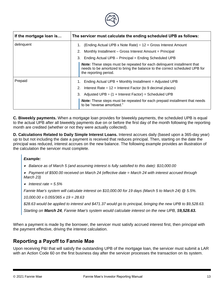

| If the mortgage loan is | The servicer must calculate the ending scheduled UPB as follows:                                                                                                                       |
|-------------------------|----------------------------------------------------------------------------------------------------------------------------------------------------------------------------------------|
| delinquent              | (Ending Actual UPB x Note Rate) $\div$ 12 = Gross Interest Amount                                                                                                                      |
|                         | Monthly Installment - Gross Interest Amount = Principal<br>2.                                                                                                                          |
|                         | Ending Actual UPB - Principal = Ending Scheduled UPB<br>3.                                                                                                                             |
|                         | <b>Note:</b> These steps must be repeated for each delinquent installment that<br>needs to be amortized to bring the balance to the correct scheduled UPB for<br>the reporting period. |
| Prepaid                 | Ending Actual UPB + Monthly Installment = Adjusted UPB<br>1.                                                                                                                           |
|                         | Interest Rate $\div$ 12 = Interest Factor (to 9 decimal places)<br>2.                                                                                                                  |
|                         | Adjusted UPB $\div$ (1 + Interest Factor) = Scheduled UPB<br>3.                                                                                                                        |
|                         | <b>Note:</b> These steps must be repeated for each prepaid installment that needs<br>to be "reverse amortized."                                                                        |

**C. Biweekly payments.** When a mortgage loan provides for biweekly payments, the scheduled UPB is equal to the actual UPB after all biweekly payments due on or before the first day of the month following the reporting month are credited (whether or not they were actually collected).

**D. Calculations Related to Daily Simple Interest Loans.** Interest accrues daily (based upon a 365-day year) up to but not including the date a payment is received that reduces principal. Then, starting on the date the principal was reduced, interest accrues on the new balance. The following example provides an illustration of the calculation the servicer must complete.

#### *Example:*

• *Balance as of March 5 (and assuming interest is fully satisfied to this date): \$10,000.00*

- • *Payment of \$500.00 received on March 24 (effective date = March 24 with interest accrued through March 23)*
- • *Interest rate = 5.5%*

*Fannie Mae's system will calculate interest on \$10,000.00 for 19 days (March 5 to March 24) @ 5.5%.*

*10,000.00 x 0.055/365 x 19 = 28.63*

*\$28.63 would be applied to interest and \$471.37 would go to principal, bringing the new UPB to \$9,528.63.* 

*1TStarting on March 24, Fannie Mae's system would calculate interest on the new UPB, \$9,528.63.*

When a payment is made by the borrower, the servicer must satisfy accrued interest first, then principal with the payment effective, driving the interest calculation.

### <span id="page-18-0"></span>**Reporting a Payoff to Fannie Mae**

Upon receiving P&I that will satisfy the outstanding UPB of the mortgage loan, the servicer must submit a LAR with an Action Code 60 on the first business day after the servicer processes the transaction on its system.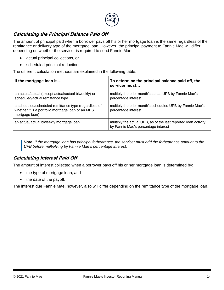

### **Calculating the Principal Balance Paid Off**

The amount of principal paid when a borrower pays off his or her mortgage loan is the same regardless of the remittance or delivery type of the mortgage loan. However, the principal payment to Fannie Mae will differ depending on whether the servicer is required to send Fannie Mae:

- actual principal collections, or
- scheduled principal reductions.

The different calculation methods are explained in the following table.

| If the mortgage loan is                                                                                                     | To determine the principal balance paid off, the<br>servicer must                                      |
|-----------------------------------------------------------------------------------------------------------------------------|--------------------------------------------------------------------------------------------------------|
| an actual/actual (except actual/actual biweekly) or<br>scheduled/actual remittance type                                     | multiply the prior month's actual UPB by Fannie Mae's<br>percentage interest.                          |
| a scheduled/scheduled remittance type (regardless of<br>whether it is a portfolio mortgage loan or an MBS<br>mortgage loan) | multiply the prior month's scheduled UPB by Fannie Mae's<br>percentage interest.                       |
| an actual/actual biweekly mortgage loan                                                                                     | multiply the actual UPB, as of the last reported loan activity,<br>by Fannie Mae's percentage interest |

*Note: If the mortgage loan has principal forbearance, the servicer must add the forbearance amount to the UPB before multiplying by Fannie Mae's percentage interest.*

### **Calculating Interest Paid Off**

The amount of interest collected when a borrower pays off his or her mortgage loan is determined by:

- the type of mortgage loan, and
- the date of the payoff.

The interest due Fannie Mae, however, also will differ depending on the remittance type of the mortgage loan.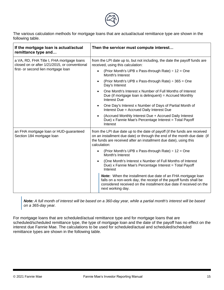

The various calculation methods for mortgage loans that are actual/actual remittance type are shown in the following table.

| If the mortgage loan is actual/actual<br>remittance type and                               | Then the servicer must compute interest                                                                                                                                                                                                    |  |
|--------------------------------------------------------------------------------------------|--------------------------------------------------------------------------------------------------------------------------------------------------------------------------------------------------------------------------------------------|--|
| a VA, RD, FHA Title I, FHA mortgage loans<br>closed on or after 1/21/2015, or conventional | from the LPI date up to, but not including, the date the payoff funds are<br>received, using this calculation:                                                                                                                             |  |
| first- or second lien mortgage loan                                                        | (Prior Month's UPB x Pass-through Rate) $\div$ 12 = One<br>Month's Interest                                                                                                                                                                |  |
|                                                                                            | (Prior Month's UPB x Pass-through Rate) $\div$ 365 = One<br>Day's Interest                                                                                                                                                                 |  |
|                                                                                            | One Month's Interest x Number of Full Months of Interest<br>Due (if mortgage loan is delinguent) = $Accrued$ Monthly<br><b>Interest Due</b>                                                                                                |  |
|                                                                                            | One Day's Interest x Number of Days of Partial Month of<br>Interest Due = Accrued Daily Interest Due                                                                                                                                       |  |
|                                                                                            | (Accrued Monthly Interest Due + Accrued Daily Interest<br>Due) x Fannie Mae's Percentage Interest = Total Payoff<br>Interest                                                                                                               |  |
| an FHA mortgage loan or HUD-guaranteed<br>Section 184 mortgage loan                        | from the LPI due date up to the date of payoff (if the funds are received<br>on an installment due date) or through the end of the month due date (if<br>the funds are received after an installment due date), using this<br>calculation: |  |
|                                                                                            | (Prior Month's UPB x Pass-through Rate) $\div$ 12 = One<br>Month's Interest                                                                                                                                                                |  |
|                                                                                            | (One Month's Interest x Number of Full Months of Interest<br>Due) x Fannie Mae's Percentage Interest = Total Payoff<br>Interest                                                                                                            |  |
|                                                                                            | <b>Note:</b> When the installment due date of an FHA mortgage loan<br>falls on a non-work day, the receipt of the payoff funds shall be<br>considered received on the installment due date if received on the<br>next working day.         |  |

*Note: A full month of interest will be based on a 360-day year, while a partial month's interest will be based on a 365-day year.*

For mortgage loans that are scheduled/actual remittance type and for mortgage loans that are scheduled/scheduled remittance type, the type of mortgage loan and the date of the payoff has no effect on the interest due Fannie Mae. The calculations to be used for scheduled/actual and scheduled/scheduled remittance types are shown in the following table.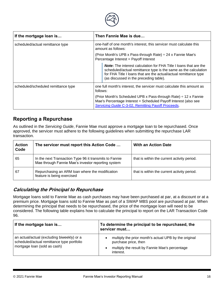

| If the mortgage loan is             | Then Fannie Mae is due                                                                                                                                                                                                                                                             |  |
|-------------------------------------|------------------------------------------------------------------------------------------------------------------------------------------------------------------------------------------------------------------------------------------------------------------------------------|--|
| scheduled/actual remittance type    | one-half of one month's interest, this servicer must calculate this<br>amount as follows:<br>(Prior Month's UPB x Pass-through Rate) : 24 x Fannie Mae's<br>Percentage Interest = Payoff Interest                                                                                  |  |
|                                     |                                                                                                                                                                                                                                                                                    |  |
|                                     | <b>Note:</b> The interest calculation for FHA Title I loans that are the<br>scheduled/actual remittance type is the same as the calculation<br>for FHA Title I loans that are the actual/actual remittance type<br>(as discussed in the preceding table).                          |  |
| scheduled/scheduled remittance type | one full month's interest, the servicer must calculate this amount as<br>follows:<br>(Prior Month's Scheduled UPB x Pass-through Rate) $\div$ 12 x Fannie<br>Mae's Percentage Interest = Scheduled Payoff Interest (also see<br>Servicing Guide C-3-02, Remitting Payoff Proceeds. |  |
|                                     |                                                                                                                                                                                                                                                                                    |  |

### <span id="page-21-0"></span>**Reporting a Repurchase**

As outlined in the *Servicing Guide*, Fannie Mae must approve a mortgage loan to be repurchased. Once approved, the servicer must adhere to the following guidelines when submitting the repurchase LAR transaction.

| <b>Action</b><br>Code | The servicer must report this Action Code                                                                    | <b>With an Action Date</b>                  |
|-----------------------|--------------------------------------------------------------------------------------------------------------|---------------------------------------------|
| 65                    | In the next Transaction Type 96 it transmits to Fannie<br>Mae through Fannie Mae's investor reporting system | that is within the current activity period. |
| -67                   | Repurchasing an ARM loan where the modification<br>feature is being exercised                                | that is within the current activity period. |

### **Calculating the Principal to Repurchase**

Mortgage loans sold to Fannie Mae as cash purchases may have been purchased at par, at a discount or at a premium price. Mortgage loans sold to Fannie Mae as part of a SWAP MBS pool are purchased at par. When determining the principal that needs to be repurchased, the price of the mortgage loan will need to be considered. The following table explains how to calculate the principal to report on the LAR Transaction Code 96.

| If the mortgage loan is                                                                                                  | To determine the principal to be repurchased, the<br>servicer must                                                                           |
|--------------------------------------------------------------------------------------------------------------------------|----------------------------------------------------------------------------------------------------------------------------------------------|
| an actual/actual (excluding biweekly) or a<br>scheduled/actual remittance type portfolio<br>mortgage loan (sold as cash) | multiply the prior month's actual UPB by the original<br>purchase price, then<br>multiply the result by Fannie Mae's percentage<br>interest. |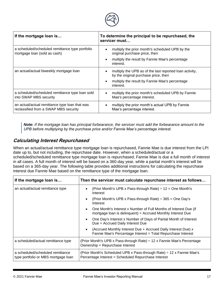

| If the mortgage loan is                                                                 | To determine the principal to be repurchased, the<br>servicer must                                                                                             |
|-----------------------------------------------------------------------------------------|----------------------------------------------------------------------------------------------------------------------------------------------------------------|
| a scheduled/scheduled remittance type portfolio<br>mortgage loan (sold as cash)         | multiply the prior month's scheduled UPB by the<br>original purchase price, then<br>multiply the result by Fannie Mae's percentage<br>interest.                |
| an actual/actual biweekly mortgage loan                                                 | multiply the UPB as of the last reported loan activity,<br>by the original purchase price, then<br>multiply the result by Fannie Mae's percentage<br>interest. |
| a scheduled/scheduled remittance type loan sold<br>into SWAP MBS security               | multiply the prior month's scheduled UPB by Fannie<br>Mae's percentage interest.                                                                               |
| an actual/actual remittance type loan that was<br>reclassified from a SWAP MBS security | multiply the prior month's actual UPB by Fannie<br>Mae's percentage interest.                                                                                  |

*Note: If the mortgage loan has principal forbearance, the servicer must add the forbearance amount to the UPB before multiplying by the purchase price and/or Fannie Mae's percentage interest.*

### **Calculating Interest Repurchased**

When an actual/actual remittance type mortgage loan is repurchased, Fannie Mae is due interest from the LPI date up to, but not including, the repurchase date. However, when a scheduled/actual or a scheduled/scheduled remittance type mortgage loan is repurchased, Fannie Mae is due a full month of interest in all cases. A full month of interest will be based on a 360-day year, while a partial month's interest will be based on a 365-day year. The following table provides additional instructions for calculating the repurchase interest due Fannie Mae based on the remittance type of the mortgage loan.

| If the mortgage loan is                                                 | Then the servicer must calculate repurchase interest as follows                                                                 |  |
|-------------------------------------------------------------------------|---------------------------------------------------------------------------------------------------------------------------------|--|
| an actual/actual remittance type                                        | (Prior Month's UPB x Pass-through Rate) $\div$ 12 = One Month's<br>Interest                                                     |  |
|                                                                         | (Prior Month's UPB x Pass-through Rate) $\div$ 365 = One Day's<br>Interest                                                      |  |
|                                                                         | One Month's Interest x Number of Full Months of Interest Due (if<br>mortgage loan is delinquent) = Accrued Monthly Interest Due |  |
|                                                                         | One Day's Interest x Number of Days of Partial Month of Interest<br>Due = Accrued Daily Interest Due                            |  |
|                                                                         | (Accrued Monthly Interest Due + Accrued Daily Interest Due) x<br>Fannie Mae's Percentage Interest = Total Repurchase Interest   |  |
| a scheduled/actual remittance type                                      | (Prior Month's UPB x Pass-through Rate) ÷ 12 x Fannie Mae's Percentage<br>Ownership = Repurchase Interest                       |  |
| a scheduled/scheduled remittance<br>type portfolio or MBS mortgage loan | (Prior Month's Scheduled UPB x Pass-through Rate) ÷ 12 x Fannie Mae's<br>Percentage Interest = Scheduled Repurchase Interest    |  |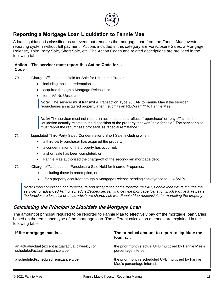

### <span id="page-23-0"></span>**Reporting a Mortgage Loan Liquidation to Fannie Mae**

A loan liquidation is classified as an event that removes the mortgage loan from the Fannie Mae investor reporting system without full payment. Actions included in this category are Foreclosure Sales, a Mortgage Release, Third Party Sale, Short Sale, etc. The Action Codes and related descriptions are provided in the following table.

| <b>Action</b><br>Code | The servicer must report this Action Code for                                                                                                                                                                                                                                            |
|-----------------------|------------------------------------------------------------------------------------------------------------------------------------------------------------------------------------------------------------------------------------------------------------------------------------------|
| 70                    | Charge-off/Liquidated Held for Sale for Uninsured Properties:                                                                                                                                                                                                                            |
|                       | including those in redemption,<br>$\bullet$                                                                                                                                                                                                                                              |
|                       | acquired through a Mortgage Release, or<br>$\bullet$                                                                                                                                                                                                                                     |
|                       | for a VA No Upset case.                                                                                                                                                                                                                                                                  |
|                       | Note: The servicer must transmit a Transaction Type 96 LAR to Fannie Mae if the servicer<br>repurchases an acquired property after it submits an REOgram™ to Fannie Mae.                                                                                                                 |
|                       | <b>Note:</b> The servicer must not report an action code that reflects "repurchase" or "payoff" since the<br>liquidation actually relates to the disposition of the property that was "held for sale." The servicer also<br>must report the repurchase proceeds as "special remittance." |
| 71                    | Liquidated Third-Party Sale / Condemnation / Short Sale, including when:                                                                                                                                                                                                                 |
|                       | a third-party purchaser has acquired the property,<br>$\bullet$                                                                                                                                                                                                                          |
|                       | a condemnation of the property has occurred,<br>$\bullet$                                                                                                                                                                                                                                |
|                       | a short sale has been completed, or<br>$\bullet$                                                                                                                                                                                                                                         |
|                       | Fannie Mae authorized the charge-off of the second-lien mortgage debt.<br>$\bullet$                                                                                                                                                                                                      |
| 72                    | Charge-off/Liquidated - Foreclosure Sale Held for Insured Properties:                                                                                                                                                                                                                    |
|                       | including those in redemption, or                                                                                                                                                                                                                                                        |
|                       | for a property acquired through a Mortgage Release pending conveyance to FHA/VA/MI.                                                                                                                                                                                                      |

*1T***Note:** *Upon completion of a foreclosure and acceptance of the foreclosure LAR, Fannie Mae will reimburse the servicer for advanced P&I for scheduled/scheduled remittance type mortgage loans for which Fannie Mae bears the foreclosure loss risk or those which are shared risk with Fannie Mae responsible for marketing the property.*

### **Calculating the Principal to Liquidate the Mortgage Loan**

The amount of principal required to be reported to Fannie Mae to effectively pay off the mortgage loan varies based on the remittance type of the mortgage loan. The different calculation methods are explained in the following table.

| If the mortgage loan is                                                                 | The principal amount to report to liquidate the<br>loan is                         |
|-----------------------------------------------------------------------------------------|------------------------------------------------------------------------------------|
| an actual/actual (except actual/actual biweekly) or<br>scheduled/actual remittance type | the prior month's actual UPB multiplied by Fannie Mae's<br>percentage interest.    |
| a scheduled/scheduled remittance type                                                   | the prior month's scheduled UPB multiplied by Fannie<br>Mae's percentage interest. |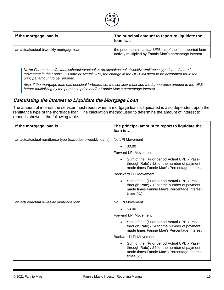

| If the mortgage loan is                 | The principal amount to report to liquidate the<br>loan is                                                             |
|-----------------------------------------|------------------------------------------------------------------------------------------------------------------------|
| an actual/actual biweekly mortgage loan | the prior month's actual UPB, as of the last reported loan<br>activity multiplied by Fannie Mae's percentage interest. |

*Note: For an actual/actual, scheduled/actual or an actual/actual biweekly remittance type loan, if there is movement in the Loan's LPI date or Actual UPB, the change in the UPB will need to be accounted for in the principal amount to be reported.*

*Also, if the mortgage loan has principal forbearance, the servicer must add the forbearance amount to the UPB before multiplying by the purchase price and/or Fannie Mae's percentage interest.*

### **Calculating the Interest to Liquidate the Mortgage Loan**

The amount of interest the servicer must report when a mortgage loan is liquidated is also dependent upon the remittance type of the mortgage loan. The calculation method used to determine the amount of interest to report is shown in the following table.

| If the mortgage loan is                                    | The principal amount to report to liquidate the<br>loan is                                                                                                              |
|------------------------------------------------------------|-------------------------------------------------------------------------------------------------------------------------------------------------------------------------|
| an actual/actual remittance type (excludes biweekly loans) | No LPI Movement                                                                                                                                                         |
|                                                            | \$0.00                                                                                                                                                                  |
|                                                            | <b>Forward LPI Movement</b>                                                                                                                                             |
|                                                            | Sum of the (Prior period Actual UPB x Pass-<br>through Rate) / 12 for the number of payment<br>made times Fannie Mae's Percentage Interest                              |
|                                                            | Backward LPI Movement                                                                                                                                                   |
|                                                            | Sum of the (Prior period Actual UPB x Pass-<br>through Rate) / 12 for the number of payment<br>made times Fannie Mae's Percentage Interest<br>times $(-1)$              |
| an actual/actual biweekly mortgage loan                    | No LPI Movement                                                                                                                                                         |
|                                                            | \$0.00                                                                                                                                                                  |
|                                                            | <b>Forward LPI Movement</b>                                                                                                                                             |
|                                                            | Sum of the (Prior period Actual UPB x Pass-<br>through Rate) / 24 for the number of payment<br>made times Fannie Mae's Percentage Interest                              |
|                                                            | <b>Backward LPI Movement</b>                                                                                                                                            |
|                                                            | Sum of the (Prior period Actual UPB x Pass-<br>$\bullet$<br>through Rate) / 24 for the number of payment<br>made times Fannie Mae's Percentage Interest<br>times $(-1)$ |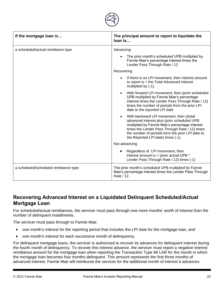

| If the mortgage loan is               | The principal amount to report to liquidate the<br>loan is                                                                                                                                                                                                                                         |
|---------------------------------------|----------------------------------------------------------------------------------------------------------------------------------------------------------------------------------------------------------------------------------------------------------------------------------------------------|
| a scheduled/actual remittance type    | Advancing                                                                                                                                                                                                                                                                                          |
|                                       | The prior month's scheduled UPB multiplied by<br>Fannie Mae's percentage interest times the<br>Lender Pass Through Rate / 12                                                                                                                                                                       |
|                                       | Recovering                                                                                                                                                                                                                                                                                         |
|                                       | If there is no LPI movement, then interest amount<br>to report is $=$ the Total Advanced Interest<br>multiplied by (-1).                                                                                                                                                                           |
|                                       | With forward LPI movement, then (prior scheduled<br>$\bullet$<br>UPB multiplied by Fannie Mae's percentage<br>interest times the Lender Pass Through Rate / 12)<br>times the number of periods from the prior LPI<br>date to the reported LPI date                                                 |
|                                       | With backward LPI movement, then ((total<br>$\bullet$<br>advanced interest plus (prior scheduled UPB<br>multiplied by Fannie Mae's percentage interest<br>times the Lender Pass Through Rate / 12) times<br>the number of periods form the prior LPI date to<br>the Reported LPI date) times (-1). |
|                                       | Not advancing                                                                                                                                                                                                                                                                                      |
|                                       | Regardless of LPI movement, then<br>interest amount is = (prior actual UPB $*$<br>Lender Pass Through Rate / 12) times (-1)                                                                                                                                                                        |
| a scheduled/scheduled remittance type | The prior month's scheduled UPB multiplied by Fannie<br>Mae's percentage interest times the Lender Pass Through<br>Rate / 12.                                                                                                                                                                      |

### <span id="page-25-0"></span>**Recovering Advanced Interest on a Liquidated Delinquent Scheduled/Actual Mortgage Loan**

For scheduled/actual remittances, the servicer must pass through one more months' worth of interest than the number of delinquent installments.

The servicer must pass through to Fannie Mae:

- one month's interest for the reporting period that includes the LPI date for the mortgage loan, and
- one month's interest for each successive month of delinquency.

For delinquent mortgage loans, the servicer is authorized to recover its advances for delinquent interest during the fourth month of delinquency. To recover this interest advance, the servicer must report a negative interest remittance amount for the mortgage loan when reporting the Transaction Type 96 LAR for the month in which the mortgage loan becomes four months delinquent. This amount represents the first three months of advanced interest. Fannie Mae will reimburse the servicer for the additional month of interest it advances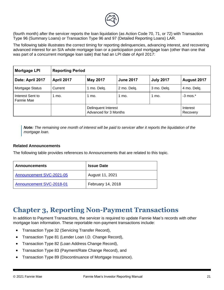

(fourth month) after the servicer reports the loan liquidation (as Action Code 70, 71, or 72) with Transaction Type 96 (Summary Loans) or Transaction Type 96 and 97 (Detailed Reporting Loans) LAR.

The following table illustrates the correct timing for reporting delinquencies, advancing interest, and recovering advanced interest for an S/A whole mortgage loan or a participation pool mortgage loan (other than one that was part of a concurrent mortgage loan sale) that had an LPI date of April 2017:

| Mortgage LPI                   | <b>Reporting Period</b>                                                      |                                              |             |                  |                      |
|--------------------------------|------------------------------------------------------------------------------|----------------------------------------------|-------------|------------------|----------------------|
| Date: April 2017               | <b>April 2017</b><br><b>May 2017</b><br><b>June 2017</b><br><b>July 2017</b> |                                              |             |                  | August 2017          |
| Mortgage Status                | Current                                                                      | 1 mo. Delq.                                  | 2 mo. Delq. | 3 mo. Delq.      | 4 mo. Delq.          |
| Interest Sent to<br>Fannie Mae | 1 mo.                                                                        | $1 \text{ mo}$ .                             | 1 mo.       | $1 \text{ mo}$ . | $-3$ mos. $*$        |
|                                |                                                                              | Delinquent Interest<br>Advanced for 3 Months |             |                  | Interest<br>Recovery |

<span id="page-26-0"></span>*Note: The remaining one month of interest will be paid to servicer after it reports the liquidation of the mortgage loan.*

#### **Related Announcements**

The following table provides references to Announcements that are related to this topic.

| <b>Announcements</b>     | <b>Issue Date</b> |
|--------------------------|-------------------|
| Announcement SVC-2021-05 | August 11, 2021   |
| Announcement SVC-2018-01 | February 14, 2018 |

# **Chapter 3, Reporting Non-Payment Transactions**

In addition to Payment Transactions, the servicer is required to update Fannie Mae's records with other mortgage loan information. These reportable non-payment transactions include:

- Transaction Type 32 (Servicing Transfer Record),
- Transaction Type 81 (Lender Loan I.D. Change Record),
- Transaction Type 82 (Loan Address Change Record),
- Transaction Type 83 (Payment/Rate Change Record), and
- Transaction Type 89 (Discontinuance of Mortgage Insurance).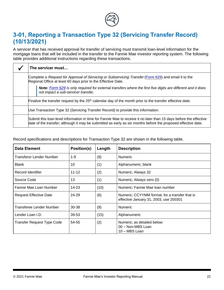

# <span id="page-27-0"></span>**3-01, Reporting a Transaction Type 32 (Servicing Transfer Record) (10/13/2021)**

A servicer that has received approval for transfer of servicing must transmit loan-level information for the mortgage loans that will be included in the transfer to the Fannie Mae investor reporting system. The following table provides additional instructions regarding these transactions.

|                                                                                                                                                                                                                                     | The servicer must                                                                                                                                                     |  |
|-------------------------------------------------------------------------------------------------------------------------------------------------------------------------------------------------------------------------------------|-----------------------------------------------------------------------------------------------------------------------------------------------------------------------|--|
|                                                                                                                                                                                                                                     | Complete a Request for Approval of Servicing or Subservicing Transfer (Form 629) and email it to the<br>Regional Office at least 60 days prior to the Effective Date. |  |
|                                                                                                                                                                                                                                     | <b>Note:</b> Form 629 is only required for external transfers where the first five digits are different and it does<br>not impact a sub-servicer transfer.            |  |
|                                                                                                                                                                                                                                     | Finalize the transfer request by the $25th$ calendar day of the month prior to the transfer effective date.                                                           |  |
| Use Transaction Type 32 (Servicing Transfer Record) to provide this information.                                                                                                                                                    |                                                                                                                                                                       |  |
| Submit this loan-level information in time for Fannie Mae to receive it no later than 15 days before the effective<br>date of the transfer; although it may be submitted as early as six months before the proposed effective date. |                                                                                                                                                                       |  |

<span id="page-27-1"></span>

| <b>Data Element</b>               | Position(s) | Length | <b>Description</b>                                                                       |
|-----------------------------------|-------------|--------|------------------------------------------------------------------------------------------|
| Transferor Lender Number          | $1 - 9$     | (9)    | <b>Numeric</b>                                                                           |
| <b>Blank</b>                      | 10          | (1)    | Alphanumeric; blank                                                                      |
| Record Identifier                 | $11 - 12$   | (2)    | Numeric; Always 32                                                                       |
| Source Code                       | 13          | (1)    | Numeric; Always zero (0)                                                                 |
| Fannie Mae Loan Number            | 14-23       | (10)   | Numeric; Fannie Mae Ioan number                                                          |
| <b>Request Effective Date</b>     | 24-29       | (6)    | Numeric; CCYYMM format; for a transfer that is<br>effective January 31, 2003, use 200301 |
| Transferee Lender Number          | 30-38       | (9)    | <b>Numeric</b>                                                                           |
| Lender Loan I.D.                  | 39-53       | (15)   | Alphanumeric                                                                             |
| <b>Transfer Request Type Code</b> | 54-55       | (2)    | Numeric; as detailed below:<br>00 - Non-MBS Loan<br>10 - MBS Loan                        |

Record specifications and descriptions for Transaction Type 32 are shown in the following table.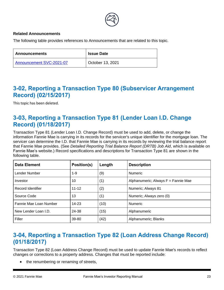

#### **Related Announcements**

The following table provides references to Announcements that are related to this topic.

| <b>Announcements</b>     | <b>Issue Date</b> |
|--------------------------|-------------------|
| Announcement SVC-2021-07 | October 13, 2021  |

# **3-02, Reporting a Transaction Type 80 (Subservicer Arrangement Record) (02/15/2017)**

This topic has been deleted.

### <span id="page-28-0"></span>**3-03, Reporting a Transaction Type 81 (Lender Loan I.D. Change Record) (01/18/2017)**

Transaction Type 81 (Lender Loan I.D. Change Record) must be used to add, delete, or change the information Fannie Mae is carrying in its records for the servicer's unique identifier for the mortgage loan. The servicer can determine the I.D. that Fannie Mae is carrying in its records by reviewing the trial balance report that Fannie Mae provides. (See *Detailed Reporting Trial Balance Report (DRTB) Job Aid*, which is available on Fannie Mae's website.) Record specifications and descriptions for Transaction Type 81 are shown in the following table.

| <b>Data Element</b>    | Position(s) | Length | <b>Description</b>                  |
|------------------------|-------------|--------|-------------------------------------|
| Lender Number          | $1 - 9$     | (9)    | <b>Numeric</b>                      |
| Investor               | 10          | (1)    | Alphanumeric; Always F = Fannie Mae |
| Record Identifier      | $11 - 12$   | (2)    | Numeric; Always 81                  |
| Source Code            | 13          | (1)    | Numeric; Always zero (0)            |
| Fannie Mae Loan Number | $14 - 23$   | (10)   | <b>Numeric</b>                      |
| New Lender Loan I.D.   | 24-38       | (15)   | Alphanumeric                        |
| Filler                 | 39-80       | (42)   | Alphanumeric; Blanks                |

# <span id="page-28-1"></span>**3-04, Reporting a Transaction Type 82 (Loan Address Change Record) (01/18/2017)**

Transaction Type 82 (Loan Address Change Record) must be used to update Fannie Mae's records to reflect changes or corrections to a property address. Changes that must be reported include:

• the renumbering or renaming of streets,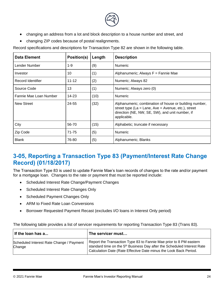

- changing an address from a lot and block description to a house number and street, and
- changing ZIP codes because of postal realignments.

Record specifications and descriptions for Transaction Type 82 are shown in the following table.

| <b>Data Element</b>    | Position(s) | Length | <b>Description</b>                                                                                                                                                                     |
|------------------------|-------------|--------|----------------------------------------------------------------------------------------------------------------------------------------------------------------------------------------|
| Lender Number          | 1-9         | (9)    | <b>Numeric</b>                                                                                                                                                                         |
| Investor               | 10          | (1)    | Alphanumeric; Always F = Fannie Mae                                                                                                                                                    |
| Record Identifier      | $11 - 12$   | (2)    | Numeric; Always 82                                                                                                                                                                     |
| Source Code            | 13          | (1)    | Numeric; Always zero (0)                                                                                                                                                               |
| Fannie Mae Loan Number | 14-23       | (10)   | <b>Numeric</b>                                                                                                                                                                         |
| <b>New Street</b>      | 24-55       | (32)   | Alphanumeric; combination of house or building number,<br>street type ( $La = Lane$ , $Ave = Avenue$ , etc.), street<br>direction (NE, NW, SE, SW), and unit number, if<br>applicable. |
| City                   | 56-70       | (15)   | Alphabetic; truncate if necessary                                                                                                                                                      |
| Zip Code               | 71-75       | (5)    | <b>Numeric</b>                                                                                                                                                                         |
| <b>Blank</b>           | 76-80       | (5)    | Alphanumeric; Blanks                                                                                                                                                                   |

# <span id="page-29-0"></span>**3-05, Reporting a Transaction Type 83 (Payment/Interest Rate Change Record) (01/18/2017)**

The Transaction Type 83 is used to update Fannie Mae's loan records of changes to the rate and/or payment for a mortgage loan. Changes to the rate or payment that must be reported include:

- Scheduled Interest Rate Change/Payment Changes
- Scheduled Interest Rate Changes Only
- Scheduled Payment Changes Only
- ARM to Fixed Rate Loan Conversions
- Borrower Requested Payment Recast (excludes I/O loans in Interest Only period)

The following table provides a list of servicer requirements for reporting Transaction Type 83 (Trans 83).

| If the loan has a                                  | The servicer must                                                                                                                                                                                                              |
|----------------------------------------------------|--------------------------------------------------------------------------------------------------------------------------------------------------------------------------------------------------------------------------------|
| Scheduled Interest Rate Change / Payment<br>Change | Report the Transaction Type 83 to Fannie Mae prior to 8 PM eastern<br>standard time on the 5 <sup>th</sup> Business Day after the Scheduled Interest Rate<br>Calculation Date (Rate Effective Date minus the Look Back Period. |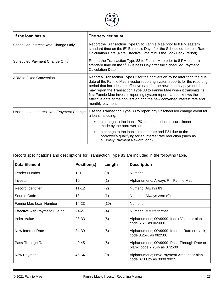

| If the loan has a                        | The servicer must                                                                                                                                                                                                                                                                                                                                                                                                                                                                     |  |  |  |
|------------------------------------------|---------------------------------------------------------------------------------------------------------------------------------------------------------------------------------------------------------------------------------------------------------------------------------------------------------------------------------------------------------------------------------------------------------------------------------------------------------------------------------------|--|--|--|
| Scheduled Interest Rate Change Only      | Report the Transaction Type 83 to Fannie Mae prior to 8 PM eastern<br>standard time on the 5 <sup>th</sup> Business Day after the Scheduled Interest Rate<br>Calculation Date (Rate Effective Date minus the Look Back Period).                                                                                                                                                                                                                                                       |  |  |  |
| Scheduled Payment Change Only            | Report the Transaction Type 83 to Fannie Mae prior to 8 PM eastern<br>standard time on the 5 <sup>th</sup> Business Day after the Scheduled Payment<br><b>Calculation Date</b>                                                                                                                                                                                                                                                                                                        |  |  |  |
| <b>ARM to Fixed Conversion</b>           | Report a Transaction Type 83 for the conversion by no later than the due<br>date of the Fannie Mae investor reporting system reports for the reporting<br>period that includes the effective date for the new monthly payment, but<br>may report the Transaction Type 83 to Fannie Mae when it transmits its<br>first Fannie Mae investor reporting system reports after it knows the<br>effective date of the conversion and the new converted interest rate and<br>monthly payment. |  |  |  |
| Unscheduled Interest Rate/Payment Change | Use the Transaction Type 83 to report any unscheduled change event for<br>a loan, including:                                                                                                                                                                                                                                                                                                                                                                                          |  |  |  |
|                                          | a change to the loan's P&I due to a principal curtailment<br>made by the borrower, or                                                                                                                                                                                                                                                                                                                                                                                                 |  |  |  |
|                                          | a change to the loan's interest rate and P&I due to the<br>borrower's qualifying for an interest rate reduction (such as<br>a Timely Payment Reward loan).                                                                                                                                                                                                                                                                                                                            |  |  |  |

Record specifications and descriptions for Transaction Type 83 are included in the following table.

| <b>Data Element</b>           | Position(s) | Length | <b>Description</b>                                                         |
|-------------------------------|-------------|--------|----------------------------------------------------------------------------|
| Lender Number                 | $1 - 9$     | (9)    | <b>Numeric</b>                                                             |
| Investor                      | 10          | (1)    | Alphanumeric; Always F = Fannie Mae                                        |
| Record Identifier             | $11 - 12$   | (2)    | Numeric; Always 83                                                         |
| Source Code                   | 13          | (1)    | Numeric; Always zero (0)                                                   |
| Fannie Mae Loan Number        | 14-23       | (10)   | <b>Numeric</b>                                                             |
| Effective with Payment Due on | 24-27       | (4)    | Numeric; MMYY format                                                       |
| <b>Index Value</b>            | 28-33       | (6)    | Alphanumeric; 99v9999; Index Value or blank;<br>code 6.5% as 065000        |
| New Interest Rate             | 34-39       | (6)    | Alphanumeric; 99v9999; Interest Rate or blank;<br>code 8.25% as 082500     |
| Pass-Through Rate             | $40 - 45$   | (6)    | Alphanumeric; 99v9999; Pass-Through Rate or<br>blank; code 7.25% as 072500 |
| New Payment                   | 46-54       | (9)    | Alphanumeric; New Payment Amount or blank;<br>code \$700.25 as 000070025   |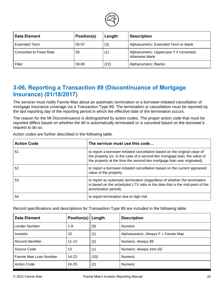

| Data Element            | <b>Position(s)</b> | Length | <b>Description</b>                                         |
|-------------------------|--------------------|--------|------------------------------------------------------------|
| <b>Extended Term</b>    | 55-57              | (3)    | Alphanumeric; Extended Term or blank                       |
| Converted to Fixed Rate | 58                 | (1)    | Alphanumeric; Uppercase Y if converted;<br>otherwise blank |
| Filler                  | 59-80              | (22)   | Alphanumeric; Blanks                                       |

# <span id="page-31-0"></span>**3-06, Reporting a Transaction 89 (Discontinuance of Mortgage Insurance) (01/18/2017)**

The servicer must notify Fannie Mae about an automatic termination or a borrower-initiated cancellation of mortgage insurance coverage via a Transaction Type 89. The termination or cancellation must be reported by the last reporting day of the reporting period in which the effective date of the termination occurs.

The reason for the MI Discontinuance is distinguished by action codes. The proper action code that must be reported differs based on whether the MI is automatically terminated or is canceled based on the borrower's request to do so.

Action codes are further described in the following table.

| <b>Action Code</b> | The servicer must use this code                                                                                                                                                                                                    |
|--------------------|------------------------------------------------------------------------------------------------------------------------------------------------------------------------------------------------------------------------------------|
| 51                 | to report a borrower-initiated cancellation based on the original value of<br>the property (or, in the case of a second-lien mortgage loan, the value of<br>the property at the time the second-lien mortgage loan was originated) |
| 52                 | to report a borrower-initiated cancellation based on the current appraised<br>value of the property                                                                                                                                |
| 53                 | to report an automatic termination (regardless of whether the termination<br>is based on the scheduled LTV ratio or the date that is the mid-point of the<br>amortization period).                                                 |
| 54                 | to report termination due to high risk.                                                                                                                                                                                            |

Record specifications and descriptions for Transaction Type 89 are included in the following table.

| <b>Data Element</b>    | <b>Position(s) Length</b> |      | <b>Description</b>                  |  |
|------------------------|---------------------------|------|-------------------------------------|--|
| Lender Number          | $1 - 9$                   | (9)  | Numeric                             |  |
| Investor               | 10                        | (1)  | Alphanumeric; Always F = Fannie Mae |  |
| Record Identifier      | $11 - 12$                 | (2)  | Numeric; Always 89                  |  |
| Source Code            | 13                        | (1)  | Numeric; Always zero (0)            |  |
| Fannie Mae Loan Number | $14 - 23$                 | (10) | Numeric                             |  |
| <b>Action Code</b>     | 24-25                     | (2)  | Numeric                             |  |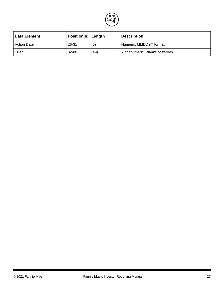

| <b>Data Element</b> | <b>Position(s)</b> Length |      | <b>Description</b>             |  |
|---------------------|---------------------------|------|--------------------------------|--|
| <b>Action Date</b>  | 26-31                     | (6)  | Numeric; MMDDYY format         |  |
| Filler              | 32-80                     | (49) | Alphanumeric; Blanks or zeroes |  |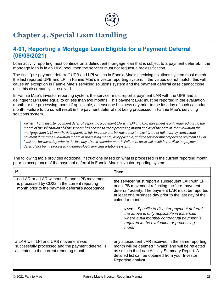

# <span id="page-33-0"></span>**Chapter 4, Special Loan Handling**

# <span id="page-33-1"></span>**4-01, Reporting a Mortgage Loan Eligible for a Payment Deferral (06/09/2021)**

Loan activity reporting must continue on a delinquent mortgage loan that is subject to a payment deferral. If the mortgage loan is in an MBS pool, then the servicer must not request a reclassification.

The final "pre-payment deferral" UPB and LPI values in Fannie Mae's servicing solutions system must match the last reported UPB and LPI in Fannie Mae's investor reporting system. If the values do not match, this will cause an exception in Fannie Mae's servicing solutions system and the payment deferral case cannot close until this discrepancy is resolved.

In Fannie Mae's investor reporting system, the servicer must report a payment LAR with the UPB and a delinquent LPI Date equal to or less than two months. This payment LAR must be reported in the evaluation month, or the processing month if applicable, at least one business day prior to the last day of such calendar month. Failure to do so will result in the payment deferral not being processed in Fannie Mae's servicing solutions system.

**NO T E :** *For a disaster payment deferral, reporting a payment LAR with LPI and UPB movement is only required during the month of the solicitation of if the servicer has chosen to use a processing month and as of the date of the evaluation the mortgage loan is 12 months delinquent. In this instance, the borrower must make his or her full monthly contractual payment during the evaluation month or processing month, as applicable, and the servicer must report the payment LAR at least one business day prior to the last day of such calendar month. Failure to do so will result in the disaster payment deferral not being processed in Fannie Mae's servicing solutions system.* 

The following table provides additional instructions based on what is processed in the current reporting month prior to acceptance of the payment deferral in Fannie Mae's investor reporting system.

| If                                                                                                                                                | Then…                                                                                                                                                                                                                                                                                                                                                                                                                                      |  |
|---------------------------------------------------------------------------------------------------------------------------------------------------|--------------------------------------------------------------------------------------------------------------------------------------------------------------------------------------------------------------------------------------------------------------------------------------------------------------------------------------------------------------------------------------------------------------------------------------------|--|
| no LAR or a LAR without LPI and UPB movement<br>is processed by CD22 in the current reporting<br>month prior to the payment deferral's acceptance | the servicer must report a subsequent LAR with LPI<br>and UPB movement reflecting the "pre- payment<br>deferral" activity. The payment LAR must be reported<br>at least one business day prior to the last day of the<br>calendar month.<br>NOTE: Specific to disaster payment deferral,<br>the above is only applicable in instances<br>where a full monthly contractual payment is<br>required in the evaluation or processing<br>month. |  |
| a LAR with LPI and UPB movement was<br>successfully processed and the payment deferral is<br>accepted in the current reporting month              | any subsequent LAR received in the same reporting<br>month will be deemed "Invalid" and will be reflected<br>as such in the Loan Activity Summary Report. A<br>detailed list can be obtained from your Investor<br>Reporting analyst.                                                                                                                                                                                                      |  |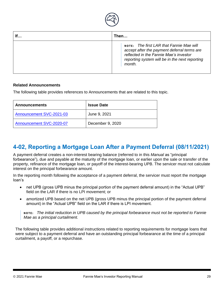

| If | Then                                                                                                                                                                                          |
|----|-----------------------------------------------------------------------------------------------------------------------------------------------------------------------------------------------|
|    | NOTE: The first LAR that Fannie Mae will<br>accept after the payment deferral terms are<br>reflected in the Fannie Mae's investor<br>reporting system will be in the next reporting<br>month. |

#### **Related Announcements**

The following table provides references to Announcements that are related to this topic.

| <b>Announcements</b>     | <b>Issue Date</b> |  |
|--------------------------|-------------------|--|
| Announcement SVC-2021-03 | June 9, 2021      |  |
| Announcement SVC-2020-07 | December 9, 2020  |  |

# **4-02, Reporting a Mortgage Loan After a Payment Deferral (08/11/2021)**

A payment deferral creates a non-interest bearing balance (referred to in this *Manual* as "principal forbearance"), due and payable at the maturity of the mortgage loan, or earlier upon the sale or transfer of the property, refinance of the mortgage loan, or payoff of the interest-bearing UPB. The servicer must not calculate interest on the principal forbearance amount.

In the reporting month following the acceptance of a payment deferral, the servicer must report the mortgage loan's

- net UPB (gross UPB minus the principal portion of the payment deferral amount) in the "Actual UPB" field on the LAR if there is no LPI movement; or
- amortized UPB based on the net UPB (gross UPB minus the principal portion of the payment deferral amount) in the "Actual UPB" field on the LAR if there is LPI movement.

**NO T E :** *The initial reduction in UPB caused by the principal forbearance must not be reported to Fannie Mae as a principal curtailment.*

The following table provides additional instructions related to reporting requirements for mortgage loans that were subject to a payment deferral and have an outstanding principal forbearance at the time of a principal curtailment, a payoff, or a repurchase.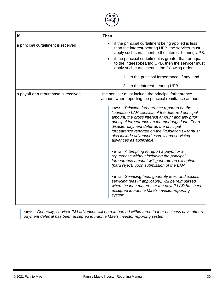

| If                                   | Then                                                                                                                                                                                                                                                                                                                                                                                                                                                                                                                                                                                                                                                                                                                                                                                                                                                                                                               |
|--------------------------------------|--------------------------------------------------------------------------------------------------------------------------------------------------------------------------------------------------------------------------------------------------------------------------------------------------------------------------------------------------------------------------------------------------------------------------------------------------------------------------------------------------------------------------------------------------------------------------------------------------------------------------------------------------------------------------------------------------------------------------------------------------------------------------------------------------------------------------------------------------------------------------------------------------------------------|
| a principal curtailment is received  | if the principal curtailment being applied is less<br>$\bullet$<br>than the interest-bearing UPB, the servicer must<br>apply such curtailment to the interest-bearing UPB.<br>if the principal curtailment is greater than or equal<br>to the interest-bearing UPB, then the servicer must<br>apply such curtailment in the following order:<br>1. to the principal forbearance, if any; and<br>to the interest-bearing UPB.<br>2.                                                                                                                                                                                                                                                                                                                                                                                                                                                                                 |
| a payoff or a repurchase is received | the servicer must include the principal forbearance<br>amount when reporting the principal remittance amount.<br>NOTE: Principal forbearance reported on the<br>liquidation LAR consists of the deferred principal<br>amount, the gross interest amount and any prior<br>principal forbearance on the mortgage loan. For a<br>disaster payment deferral, the principal<br>forbearance reported on the liquidation LAR must<br>also include advanced escrow and servicing<br>advances as applicable.<br>NOTE: Attempting to report a payoff or a<br>repurchase without including the principal<br>forbearance amount will generate an exception<br>(hard reject) upon submission of the LAR.<br>NOTE: Servicing fees, guaranty fees, and excess<br>servicing fees (if applicable), will be reimbursed<br>when the loan matures or the payoff LAR has been<br>accepted in Fannie Mae's investor reporting<br>system. |

**NO T E :** *Generally, servicer P&I advances will be reimbursed within three to four business days after a payment deferral has been accepted in Fannie Mae's investor reporting system.*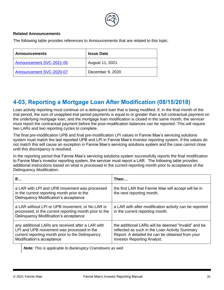

#### **Related Announcements**

The following table provides references to Announcements that are related to this topic.

| <b>Announcements</b>     | <b>Issue Date</b> |  |
|--------------------------|-------------------|--|
| Announcement SVC-2021-05 | August 11, 2021   |  |
| Announcement SVC-2020-07 | December 9, 2020  |  |

# **4-03, Reporting a Mortgage Loan After Modification (08/15/2018)**

Loan activity reporting must continue on a delinquent loan that is being modified. If, in the final month of the trial period, the sum of unapplied trial period payments is equal to or greater than a full contractual payment on the underlying mortgage loan, and the mortgage loan modification is closed in the same month, the servicer must report the contractual payment before the post-modification balances can be reported. This will require two LARs and two reporting cycles to complete.

The final pre-modification UPB and final pre-modification LPI values in Fannie Mae's servicing solutions system must match the last reported UPB and LPI in Fannie Mae's investor reporting system. If the values do not match this will cause an exception in Fannie Mae's servicing solutions system and the case cannot close until this discrepancy is resolved.

In the reporting period that Fannie Mae's servicing solutions system successfully reports the final modification to Fannie Mae's investor reporting system, the servicer must report a LAR. The following table provides additional instructions based on what is processed in the current reporting month prior to acceptance of the Delinquency Modification.

| If                                                                                                                                                                              | Then…                                                                                                                                                                                            |
|---------------------------------------------------------------------------------------------------------------------------------------------------------------------------------|--------------------------------------------------------------------------------------------------------------------------------------------------------------------------------------------------|
| a LAR with LPI and UPB movement was processed<br>in the current reporting month prior to the<br>Delinquency Modification's acceptance                                           | the first LAR that Fannie Mae will accept will be in<br>the next reporting month.                                                                                                                |
| a LAR without LPI or UPB movement, or No LAR is<br>processed, in the current reporting month prior to the<br>Delinquency Modification's acceptance                              | a LAR with after modification activity can be reported<br>in the current reporting month.                                                                                                        |
| any additional LARs are received after a LAR with<br>LPI and UPB movement was processed in the<br>current reporting month prior to the Delinquency<br>Modification's acceptance | the additional LARs will be deemed "Invalid" and be<br>reflected as such in the Loan Activity Summary<br>Report. A detailed list can be obtained from your<br><b>Investor Reporting Analyst.</b> |

*Note: This is applicable to Bankruptcy Cramdowns as well.*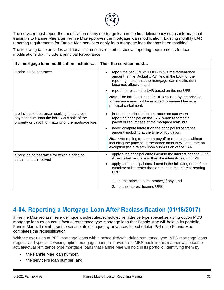

The servicer must report the modification of any mortgage loan in the first delinquency status information it transmits to Fannie Mae after Fannie Mae approves the mortgage loan modification. Existing monthly LAR reporting requirements for Fannie Mae servicers apply for a mortgage loan that has been modified.

The following table provides additional instructions related to special reporting requirements for loan modifications that include a principal forbearance.

| If a mortgage loan modification includes                                                                                                              | Then the servicer must                                                                                                                                                                                   |  |  |
|-------------------------------------------------------------------------------------------------------------------------------------------------------|----------------------------------------------------------------------------------------------------------------------------------------------------------------------------------------------------------|--|--|
| a principal forbearance                                                                                                                               | report the net UPB (full UPB minus the forbearance<br>$\bullet$<br>amount) in the "Actual UPB" field in the LAR for the<br>reporting month that the mortgage loan modification<br>becomes effective, and |  |  |
|                                                                                                                                                       | report interest on the LAR based on the net UPB.                                                                                                                                                         |  |  |
|                                                                                                                                                       | <b>Note:</b> The initial reduction in UPB caused by the principal<br>forbearance must not be reported to Fannie Mae as a<br>principal curtailment.                                                       |  |  |
| a principal forbearance resulting in a balloon<br>payment due upon the borrower's sale of the<br>property or payoff, or maturity of the mortgage loan | include the principal forbearance amount when<br>reporting principal on the LAR, when reporting a<br>payoff or repurchase of the mortgage loan, but                                                      |  |  |
|                                                                                                                                                       | never compute interest on the principal forbearance<br>amount, including at the time of liquidation.                                                                                                     |  |  |
|                                                                                                                                                       | <b>Note:</b> Attempting to report a payoff or repurchase without<br>including the principal forbearance amount will generate an<br>exception (hard reject) upon submission of the LAR.                   |  |  |
| a principal forbearance for which a principal<br>curtailment is received                                                                              | apply such principal curtailment to the interest-bearing UPB,<br>$\bullet$<br>if the curtailment is less than the interest-bearing UPB.                                                                  |  |  |
|                                                                                                                                                       | apply such principal curtailment in the following order if the<br>curtailment is greater than or equal to the interest-bearing<br>UPB:                                                                   |  |  |
|                                                                                                                                                       | to the principal forbearance, if any; and<br>1.                                                                                                                                                          |  |  |
|                                                                                                                                                       | to the interest-bearing UPB.<br>2.                                                                                                                                                                       |  |  |

# <span id="page-37-0"></span>**4-04, Reporting a Mortgage Loan After Reclassification (01/18/2017)**

If Fannie Mae reclassifies a delinquent scheduled/scheduled remittance type special servicing option MBS mortgage loan as an actual/actual remittance type mortgage loan that Fannie Mae will hold in its portfolio, Fannie Mae will reimburse the servicer its delinquency advances for scheduled P&I once Fannie Mae completes the reclassification.

With the exclusion of PFP mortgage loans with a scheduled/scheduled remittance type, MBS mortgage loans (regular and special servicing option mortgage loans) removed from MBS pools in this manner will become actual/actual remittance type mortgage loans that Fannie Mae will hold in its portfolio, identifying them by

- the Fannie Mae Ioan number.
- the servicer's loan number, and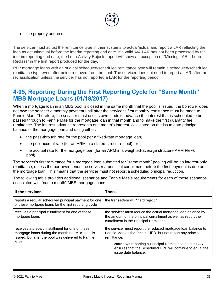

the property address.

The servicer must adjust the remittance type in their systems to actual/actual and report a LAR reflecting the loan as actual/actual before the interim reporting end date. If a valid A/A LAR has not been processed by the interim reporting end date, the Loan Activity Rejects report will show an exception of "Missing LAR – Loan Reclass" in the first report produced for the day.

PFP mortgage loans with an original scheduled/scheduled remittance type will remain a scheduled/scheduled remittance type even after being removed from the pool. The servicer does not need to report a LAR after the reclassification unless the servicer has not reported a LAR for the reporting period.

### <span id="page-38-0"></span>**4-05, Reporting During the First Reporting Cycle for "Same Month" MBS Mortgage Loans (01/18/2017)**

When a mortgage loan in an MBS pool is closed in the same month that the pool is issued, the borrower does not owe the servicer a monthly payment until after the servicer's first monthly remittance must be made to Fannie Mae. Therefore, the servicer must use its own funds to advance the interest that is scheduled to be passed through to Fannie Mae for the mortgage loan in that month and to make the first guaranty fee remittance. The interest advance represents one month's interest, calculated on the issue date principal balance of the mortgage loan and using either:

- the pass-through rate for the pool (for a fixed-rate mortgage loan),
- the pool accrual rate (for an ARM in a stated-structure pool), or
- the accrual rate for the mortgage loan (for an ARM in a weighted-average structure ARM Flex® pool).

The servicer's first remittance for a mortgage loan submitted for "same month" pooling will be an interest-only remittance, unless the borrower sends the servicer a principal curtailment before the first payment is due on the mortgage loan. This means that the servicer must not report a scheduled principal reduction.

The following table provides additional scenarios and Fannie Mae's requirements for each of those scenarios associated with "same month" MBS mortgage loans.

| If the servicer                                                                                                                                          | Then                                                                                                                                                                      |  |  |
|----------------------------------------------------------------------------------------------------------------------------------------------------------|---------------------------------------------------------------------------------------------------------------------------------------------------------------------------|--|--|
| reports a regular scheduled principal payment for one<br>of these mortgage loans for the first reporting cycle                                           | the transaction will "hard reject."                                                                                                                                       |  |  |
| receives a principal curtailment for one of these<br>mortgage loans                                                                                      | the servicer must reduce the actual mortgage loan balance by<br>the amount of the principal curtailment as well as report the<br>curtailment in the Principal Remittance. |  |  |
| receives a prepaid installment for one of these<br>mortgage loans during the month the MBS pool is<br>issued, but after the pool was delivered to Fannie | the servicer must report the reduced mortgage loan balance to<br>Fannie Mae as the "actual UPB" but not report any principal<br>remittance.                               |  |  |
| Mae                                                                                                                                                      | <b>Note:</b> Not reporting a Principal Remittance on this LAR<br>ensures that the Scheduled UPB will continue to equal the<br>issue date balance.                         |  |  |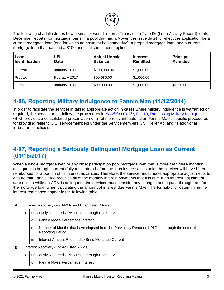

The following chart illustrates how a servicer would report a Transaction Type 96 (Loan Activity Record) for its December reports (for mortgage loans in a pool that had a November issue date) to reflect the application for a current mortgage loan (one for which no payment has come due), a prepaid mortgage loan, and a current mortgage loan that has had a \$100 principal curtailment applied.

| Loan<br><b>Identification</b> | <b>LPI</b><br><b>Date</b> | <b>Actual Unpaid</b><br><b>Balance</b> | Interest<br>Remitted | <b>Principal</b><br><b>Remitted</b> |
|-------------------------------|---------------------------|----------------------------------------|----------------------|-------------------------------------|
| Current                       | January 2017              | \$100,000.00                           | $\vert$ \$1,000.00   |                                     |
| Prepaid                       | February 2017             | \$99,980.00                            | $\vert$ \$1,000.00   |                                     |
| Curtail                       | January 2017              | \$99,900.00                            | $\vert$ \$1,000.00   | \$100.00                            |

# <span id="page-39-0"></span>**4-06, Reporting Military Indulgence to Fannie Mae (11/12/2014)**

In order to facilitate the servicer in taking appropriate action in cases where military indulgence is warranted or required, the servicer must follow the procedures in *Servicing Guide*[, F-1-19, Processing Military](https://www.fanniemae.com/content/guide/servicing/f/1/19.html) [Indulgence](https://www.fanniemae.com/content/guide/servicing/f/1/19.html), which provides a consolidated presentation of all of the relevant material on Fannie Mae's specific procedures for providing relief to U.S. servicemembers under the Servicemembers Civil Relief Act and its additional forbearance policies.

# <span id="page-39-1"></span>**4-07, Reporting a Seriously Delinquent Mortgage Loan as Current (01/18/2017)**

When a whole mortgage loan or any other participation pool mortgage loan that is more than three months' delinquent is brought current (fully reinstated) before the foreclosure sale is held, the servicer will have been reimbursed for a portion of its interest advances. Therefore, the servicer must make appropriate adjustments to ensure that Fannie Mae receives all of the monthly interest payments that it is due. If an interest adjustment date occurs while an ARM is delinquent, the servicer must consider any changes to the pass-through rate for the mortgage loan when calculating the amount of interest due Fannie Mae. The formulas for determining the interest remittance appear in the following table.

| A | Interest Recovery (For FRMs and Unadjusted ARMs) |                                                                                                                                 |                                                    |  |
|---|--------------------------------------------------|---------------------------------------------------------------------------------------------------------------------------------|----------------------------------------------------|--|
|   | $\bullet$                                        | Previously Reported UPB x Pass-through Rate ÷ 12                                                                                |                                                    |  |
|   |                                                  | X                                                                                                                               | Fannie Mae's Percentage Interest                   |  |
|   |                                                  | Number of Months that have elapsed from the Previously Reported LPI Date through the end of the<br>X<br><b>Reporting Period</b> |                                                    |  |
|   |                                                  | $=$                                                                                                                             | Interest Amount Required to Bring Mortgage Current |  |
| в |                                                  | Interest Recovery (For Adjusted ARMs)                                                                                           |                                                    |  |
|   | $\bullet$                                        | Previously Reported UPB x Pass-through Rate ÷ 12                                                                                |                                                    |  |
|   |                                                  | Fannie Mae's Percentage Interest<br>X                                                                                           |                                                    |  |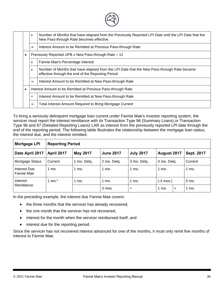| Number of Months that have elapsed from the Previously Reported LPI Date until the LPI Date that the<br>$\boldsymbol{\mathsf{x}}$<br>New Pass-through Rate becomes effective.<br>Interest Amount to be Remitted at Previous Pass-through Rate<br>$=$<br>Previously Reported UPB x New Pass-through Rate $\div$ 12<br>$\bullet$<br>Fannie Mae's Percentage Interest<br>X<br>Number of Months that have elapsed from the LPI Date that the New Pass-through Rate became<br>$\boldsymbol{\mathsf{x}}$<br>effective through the end of the Reporting Period<br>Interest Amount to be Remitted at New Pass-through Rate<br>=<br>Interest Amount to be Remitted at Previous Pass-through Rate<br>$\bullet$<br>Interest Amount to be Remitted at New Pass-through Rate<br>$\ddot{}$<br><b>Total Interest Amount Required to Bring Mortgage Current</b><br>$=$ |  |  |  |  |  |  |
|--------------------------------------------------------------------------------------------------------------------------------------------------------------------------------------------------------------------------------------------------------------------------------------------------------------------------------------------------------------------------------------------------------------------------------------------------------------------------------------------------------------------------------------------------------------------------------------------------------------------------------------------------------------------------------------------------------------------------------------------------------------------------------------------------------------------------------------------------------|--|--|--|--|--|--|
|                                                                                                                                                                                                                                                                                                                                                                                                                                                                                                                                                                                                                                                                                                                                                                                                                                                        |  |  |  |  |  |  |
|                                                                                                                                                                                                                                                                                                                                                                                                                                                                                                                                                                                                                                                                                                                                                                                                                                                        |  |  |  |  |  |  |
|                                                                                                                                                                                                                                                                                                                                                                                                                                                                                                                                                                                                                                                                                                                                                                                                                                                        |  |  |  |  |  |  |
|                                                                                                                                                                                                                                                                                                                                                                                                                                                                                                                                                                                                                                                                                                                                                                                                                                                        |  |  |  |  |  |  |
|                                                                                                                                                                                                                                                                                                                                                                                                                                                                                                                                                                                                                                                                                                                                                                                                                                                        |  |  |  |  |  |  |
|                                                                                                                                                                                                                                                                                                                                                                                                                                                                                                                                                                                                                                                                                                                                                                                                                                                        |  |  |  |  |  |  |
|                                                                                                                                                                                                                                                                                                                                                                                                                                                                                                                                                                                                                                                                                                                                                                                                                                                        |  |  |  |  |  |  |
|                                                                                                                                                                                                                                                                                                                                                                                                                                                                                                                                                                                                                                                                                                                                                                                                                                                        |  |  |  |  |  |  |
|                                                                                                                                                                                                                                                                                                                                                                                                                                                                                                                                                                                                                                                                                                                                                                                                                                                        |  |  |  |  |  |  |

To bring a seriously delinquent mortgage loan current under Fannie Mae's investor reporting system, the servicer must report the interest remittance with its Transaction Type 96 (Summary Loans) or Transaction Type 96 and 97 (Detailed Reporting Loans) LAR as interest from the previously reported LPI date through the end of the reporting period. The following table illustrates the relationship between the mortgage loan status, the interest due, and the interest remitted.

| <b>Mortgage LPI</b>        | <b>Reporting Period</b> |             |                  |                  |                     |           |            |
|----------------------------|-------------------------|-------------|------------------|------------------|---------------------|-----------|------------|
| Date April 2017            | <b>April 2017</b>       | May 2017    | <b>June 2017</b> | <b>July 2017</b> | August 2017         |           | Sept. 2017 |
| Mortgage Status            | Current                 | 1 mo. Delg. | 2 mo. Delg.      | 3 mo. Delq.      | 4 mo. Delg.         |           | Current    |
| Interest Due<br>Fannie Mae | mo.                     | 1 mo.       | 1 mo.            | mo.              | 1 mo.               |           | 1 mo.      |
| Interest                   | $mo.*$                  | 1 mo.       | 1 mo.            | 1 mo.            | $(-3 \text{ mos.})$ |           | 5 mo.      |
| Remittance                 |                         |             | 3 mos.           | $\ddot{}$        | 1 mo.               | $\ddot{}$ | 1 mo.      |

In the preceding example, the interest due Fannie Mae covers:

- the three months that the servicer has already recovered,
- the one month that the servicer has not recovered,
- interest for the month when the servicer reimbursed itself, and
- interest due for the reporting period.

Since the servicer has not recovered interest advanced for one of the months, it must only remit five months of interest to Fannie Mae.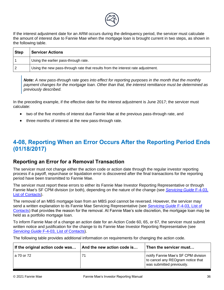

If the interest adjustment date for an ARM occurs during the delinquency period, the servicer must calculate the amount of interest due to Fannie Mae when the mortgage loan is brought current in two steps, as shown in the following table.

| <b>Step</b> | <b>Servicer Actions</b>                                                         |
|-------------|---------------------------------------------------------------------------------|
|             | Using the earlier pass-through rate.                                            |
|             | Using the new pass-through rate that results from the interest rate adjustment. |

**Note:** A new pass-through rate goes into effect for reporting purposes in the month that the monthly *payment changes for the mortgage loan. Other than that, the interest remittance must be determined as previously described.* 

In the preceding example, if the effective date for the interest adjustment is June 2017; the servicer must calculate:

- two of the five months of interest due Fannie Mae at the previous pass-through rate, and
- three months of interest at the new pass-through rate.

# <span id="page-41-0"></span>**4-08, Reporting When an Error Occurs After the Reporting Period Ends (01/18/2017)**

### <span id="page-41-1"></span>**Reporting an Error for a Removal Transaction**

The servicer must not change either the action code or action date through the regular investor reporting process if a payoff, repurchase or liquidation error is discovered after the final transactions for the reporting period have been transmitted to Fannie Mae.

The servicer must report these errors to either its Fannie Mae Investor Reporting Representative or through Fannie Mae's SF CPM division (or both), depending on the nature of the change (see *[Servicing Guide](https://www.fanniemae.com/content/guide/servicing/f/4/03.html)* F-4-03, [List of Contacts\)](https://www.fanniemae.com/content/guide/servicing/f/4/03.html).

The removal of an MBS mortgage loan from an MBS pool cannot be reversed. However, the servicer may send a written explanation to its Fannie Mae Servicing Representative (see *[Servicing Guide](https://www.fanniemae.com/content/guide/servicing/f/4/03.html)* F-4-03, List of [Contacts](https://www.fanniemae.com/content/guide/servicing/f/4/03.html)) that provides the reason for the removal. At Fannie Mae's sole discretion, the mortgage loan may be held as a portfolio mortgage loan.

To inform Fannie Mae of a change an action date for an Action Code 60, 65, or 67, the servicer must submit written notice and justification for the change to its Fannie Mae Investor Reporting Representative (see **[Servicing Guide](https://www.fanniemae.com/content/guide/servicing/f/4/03.html) F-4[-03, List of Contacts](https://www.fanniemae.com/content/guide/servicing/f/4/03.html)).** 

The following table provides additional information on requirements for changing the action code.

| If the original action code was | And the new action code is | Then the servicer must                                                                                |
|---------------------------------|----------------------------|-------------------------------------------------------------------------------------------------------|
| l a 70 or 72 l                  |                            | notify Fannie Mae's SF CPM division<br>to cancel any REOgram notice that<br>was submitted previously. |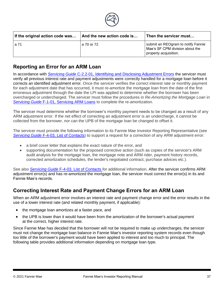

| If the original action code was | And the new action code is | Then the servicer must                                                                         |
|---------------------------------|----------------------------|------------------------------------------------------------------------------------------------|
| l a 71                          | a 70 or 72                 | submit an REOgram to notify Fannie<br>Mae's SF CPM division about the<br>property acquisition. |

### <span id="page-42-0"></span>**Reporting an Error for an ARM Loan**

In accordance with *[Servicing Guide](https://www.fanniemae.com/content/guide/servicing/c/2.2/01.html)* C-2.2-01, [Identifying and Disclosing Adjustment Errors](https://www.fanniemae.com/content/guide/servicing/c/2.2/01.html) the servicer must verify all previous interest rate and payment adjustments were correctly handled for a mortgage loan before it corrects an identified adjustment error. Once the servicer verifies the correct interest rate or monthly payment for each adjustment date that has occurred, it must re-amortize the mortgage loan from the date of the first erroneous adjustment through the date the LPI was applied to determine whether the borrower has been overcharged or undercharged. The servicer must follow the procedures in *Re-Amortizing the Mortgage Loan* in *[Servicing Guide](https://www.fanniemae.com/content/guide/servicing/f/1/01.html)* F-1[-01, Servicing ARM Loans](https://www.fanniemae.com/content/guide/servicing/f/1/01.html) to complete the re-amortization.

The servicer must determine whether the borrower's monthly payment needs to be changed as a result of any ARM adjustment error. If the net effect of correcting an adjustment error is an undercharge, it cannot be collected from the borrower, nor can the UPB of the mortgage loan be changed to offset it.

The servicer must provide the following information to its Fannie Mae Investor Reporting Representative (see *[Servicing Guide](https://www.fanniemae.com/content/guide/servicing/f/4/03.html)* F-4[-03, List of Contacts](https://www.fanniemae.com/content/guide/servicing/f/4/03.html)) to support a request for a correction of any ARM adjustment error:

- a brief cover letter that explains the exact nature of the error, and
- supporting documentation for the proposed corrective action (such as copies of the servicer's ARM audit analysis for the mortgage loan, the mortgage note and ARM rider, payment history records, corrected amortization schedules, the lender's negotiated contract, purchase advices etc.).

See also *[Servicing Guide](https://www.fanniemae.com/content/guide/servicing/f/4/03.html)* F-4[-03, List of Contacts](https://www.fanniemae.com/content/guide/servicing/f/4/03.html) for additional information. After the servicer confirms ARM adjustment error(s) and has re-amortized the mortgage loan, the servicer must correct the error(s) in its and Fannie Mae's records.

### <span id="page-42-1"></span>**Correcting Interest Rate and Payment Change Errors for an ARM Loan**

When an ARM adjustment error involves an interest rate and payment change error and the error results in the use of a lower interest rate (and related monthly payment, if applicable):

- the mortgage loan amortizes at a faster pace, and
- the UPB is lower than it would have been from the amortization of the borrower's actual payment at the correct, higher interest rate.

Since Fannie Mae has decided that the borrower will not be required to make up undercharges, the servicer must not change the mortgage loan balance in Fannie Mae's investor reporting system records even though too little of the borrower's payment would have been applied to interest and too much to principal. The following table provides additional information depending on mortgage loan type.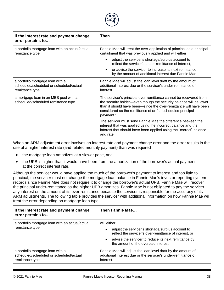

| If the interest rate and payment change<br>error pertains to                                   | Then…                                                                                                                                                                                                                                                                                  |  |  |
|------------------------------------------------------------------------------------------------|----------------------------------------------------------------------------------------------------------------------------------------------------------------------------------------------------------------------------------------------------------------------------------------|--|--|
| a portfolio mortgage loan with an actual/actual<br>remittance type                             | Fannie Mae will treat the over-application of principal as a principal<br>curtailment that was previously applied and will either                                                                                                                                                      |  |  |
|                                                                                                | adjust the servicer's shortage/surplus account to<br>reflect the servicer's under-remittance of interest,                                                                                                                                                                              |  |  |
|                                                                                                | or advise the servicer to increase its next remittance<br>by the amount of additional interest due Fannie Mae.                                                                                                                                                                         |  |  |
| a portfolio mortgage loan with a<br>scheduled/scheduled or scheduled/actual<br>remittance type | Fannie Mae will adjust the loan level draft by the amount of<br>additional interest due or the servicer's under-remittance of<br>interest.                                                                                                                                             |  |  |
| a mortgage loan in an MBS pool with a<br>scheduled/scheduled remittance type                   | The servicer's principal over-remittance cannot be recovered from<br>the security holder—even though the security balance will be lower<br>than it should have been—since the over-remittance will have been<br>considered as the remittance of an "unscheduled principal<br>payment." |  |  |
|                                                                                                | The servicer must send Fannie Mae the difference between the<br>interest that was applied using the incorrect balance and the<br>interest that should have been applied using the "correct" balance<br>and rate.                                                                       |  |  |

When an ARM adjustment error involves an interest rate and payment change error and the error results in the use of a higher interest rate (and related monthly payment) than was required

- the mortgage loan amortizes at a slower pace, and
- the UPB is higher than it would have been from the amortization of the borrower's actual payment at the correct interest rate.

Although the servicer would have applied too much of the borrower's payment to interest and too little to principal, the servicer must not change the mortgage loan balance in Fannie Mae's investor reporting system records since Fannie Mae does not require it to change the borrower's actual UPB. Fannie Mae will recover the principal under-remittance as the higher UPB amortizes. Fannie Mae is not obligated to pay the servicer any interest on the amount of its over-remittance because the servicer is responsible for the accuracy of its ARM adjustments. The following table provides the servicer with additional information on how Fannie Mae will treat the error depending on mortgage loan type.

| If the interest rate and payment change<br>error pertains to                                   | Then Fannie Mae                                                                                                                                                                                                                                       |  |  |
|------------------------------------------------------------------------------------------------|-------------------------------------------------------------------------------------------------------------------------------------------------------------------------------------------------------------------------------------------------------|--|--|
| a portfolio mortgage loan with an actual/actual<br>remittance type                             | will either:<br>adjust the servicer's shortage/surplus account to<br>$\bullet$<br>reflect the servicer's over-remittance of interest, or<br>advise the servicer to reduce its next remittance by<br>$\bullet$<br>the amount of the overpaid interest. |  |  |
| a portfolio mortgage loan with a<br>scheduled/scheduled or scheduled/actual<br>remittance type | Fannie Mae will adjust the loan level draft by the amount of<br>additional interest due or the servicer's under-remittance of<br>interest.                                                                                                            |  |  |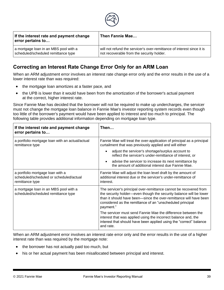

| If the interest rate and payment change<br>error pertains to | Then Fannie Mae                                                        |
|--------------------------------------------------------------|------------------------------------------------------------------------|
| a mortgage loan in an MBS pool with a                        | will not refund the servicer's over-remittance of interest since it is |
| scheduled/scheduled remittance type                          | not recoverable from the security holder.                              |

### <span id="page-44-0"></span>**Correcting an Interest Rate Change Error Only for an ARM Loan**

When an ARM adjustment error involves an interest rate change error only and the error results in the use of a lower interest rate than was required:

- the mortgage loan amortizes at a faster pace, and
- the UPB is lower than it would have been from the amortization of the borrower's actual payment at the correct, higher interest rate.

Since Fannie Mae has decided that the borrower will not be required to make up undercharges, the servicer must not change the mortgage loan balance in Fannie Mae's investor reporting system records even though too little of the borrower's payment would have been applied to interest and too much to principal. The following table provides additional information depending on mortgage loan type.

| If the interest rate and payment change<br>error pertains to                                   | Then…                                                                                                                                                                                                                                                                                  |  |  |
|------------------------------------------------------------------------------------------------|----------------------------------------------------------------------------------------------------------------------------------------------------------------------------------------------------------------------------------------------------------------------------------------|--|--|
| a portfolio mortgage loan with an actual/actual<br>remittance type                             | Fannie Mae will treat the over-application of principal as a principal<br>curtailment that was previously applied and will either                                                                                                                                                      |  |  |
|                                                                                                | adjust the servicer's shortage/surplus account to<br>reflect the servicer's under-remittance of interest, or                                                                                                                                                                           |  |  |
|                                                                                                | advise the servicer to increase its next remittance by<br>$\bullet$<br>the amount of additional interest due Fannie Mae.                                                                                                                                                               |  |  |
| a portfolio mortgage loan with a<br>scheduled/scheduled or scheduled/actual<br>remittance type | Fannie Mae will adjust the loan level draft by the amount of<br>additional interest due or the servicer's under-remittance of<br>interest.                                                                                                                                             |  |  |
| a mortgage loan in an MBS pool with a<br>scheduled/scheduled remittance type                   | The servicer's principal over-remittance cannot be recovered from<br>the security holder—even though the security balance will be lower<br>than it should have been—since the over-remittance will have been<br>considered as the remittance of an "unscheduled principal<br>payment." |  |  |
|                                                                                                | The servicer must send Fannie Mae the difference between the<br>interest that was applied using the incorrect balance and, the<br>interest that should have been applied using the "correct" balance<br>and rate.                                                                      |  |  |

When an ARM adjustment error involves an interest rate error only and the error results in the use of a higher interest rate than was required by the mortgage note:

- the borrower has not actually paid too much, but
- his or her actual payment has been misallocated between principal and interest.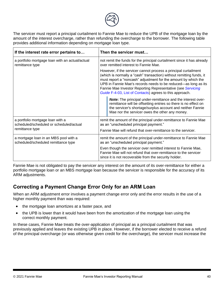

The servicer must report a principal curtailment to Fannie Mae to reduce the UPB of the mortgage loan by the amount of the interest overcharge, rather than refunding the overcharge to the borrower. The following table provides additional information depending on mortgage loan type.

| If the interest rate error pertains to                                                         | Then the servicer must                                                                                                                                                                                                                                                                                                                                                                                 |  |  |
|------------------------------------------------------------------------------------------------|--------------------------------------------------------------------------------------------------------------------------------------------------------------------------------------------------------------------------------------------------------------------------------------------------------------------------------------------------------------------------------------------------------|--|--|
| a portfolio mortgage loan with an actual/actual<br>remittance type                             | not remit the funds for the principal curtailment since it has already<br>over remitted interest to Fannie Mae.                                                                                                                                                                                                                                                                                        |  |  |
|                                                                                                | However, if the servicer cannot process a principal curtailment<br>(which is normally a "cash" transaction) without remitting funds, it<br>must report a "noncash" adjustment for the amount by which the<br>UPB in Fannie Mae's records needs to be reduced-as long as its<br>Fannie Mae Investor Reporting Representative (see Servicing<br>Guide F-4-03, List of Contacts) agrees to this approach. |  |  |
|                                                                                                | <b>Note:</b> The principal under-remittance and the interest over-<br>remittance will be offsetting entries so there is no effect on<br>the servicer's shortage/surplus account and neither Fannie<br>Mae nor the servicer owes the other any money.                                                                                                                                                   |  |  |
| a portfolio mortgage loan with a<br>scheduled/scheduled or scheduled/actual<br>remittance type | remit the amount of the principal under-remittance to Fannie Mae<br>as an "unscheduled principal payment."<br>Fannie Mae will refund that over-remittance to the servicer.                                                                                                                                                                                                                             |  |  |
| a mortgage loan in an MBS pool with a<br>scheduled/scheduled remittance type                   | remit the amount of the principal under-remittance to Fannie Mae<br>as an "unscheduled principal payment."                                                                                                                                                                                                                                                                                             |  |  |
|                                                                                                | Even though the servicer over remitted interest to Fannie Mae,<br>Fannie Mae will not refund that over-remittance to the servicer<br>since it is not recoverable from the security holder.                                                                                                                                                                                                             |  |  |

Fannie Mae is not obligated to pay the servicer any interest on the amount of its over-remittance for either a portfolio mortgage loan or an MBS mortgage loan because the servicer is responsible for the accuracy of its ARM adjustments.

### <span id="page-45-0"></span>**Correcting a Payment Change Error Only for an ARM Loan**

When an ARM adjustment error involves a payment change error only and the error results in the use of a higher monthly payment than was required:

- the mortgage loan amortizes at a faster pace, and
- the UPB is lower than it would have been from the amortization of the mortgage loan using the correct monthly payment.

In these cases, Fannie Mae treats the over-application of principal as a principal curtailment that was previously applied and leaves the existing UPB in place. However, if the borrower elected to receive a refund of the principal overcharge (or was otherwise given credit for the overcharge), the servicer must increase the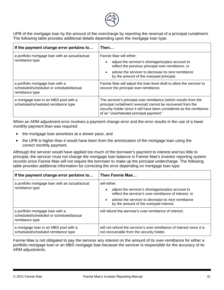

UPB of the mortgage loan by the amount of the overcharge by reporting the reversal of a principal curtailment. The following table provides additional details depending upon the mortgage loan type.

| If the payment change error pertains to                                                        | Then                                                                                                                                                                                                                                               |  |  |
|------------------------------------------------------------------------------------------------|----------------------------------------------------------------------------------------------------------------------------------------------------------------------------------------------------------------------------------------------------|--|--|
| a portfolio mortgage loan with an actual/actual<br>remittance type                             | Fannie Mae will either:<br>adjust the servicer's shortage/surplus account to<br>reflect the previous principal over-remittance, or<br>advise the servicer to decrease its next remittance<br>by the amount of the overpaid principal.              |  |  |
| a portfolio mortgage loan with a<br>scheduled/scheduled or scheduled/actual<br>remittance type | Fannie Mae will adjust the loan-level draft to allow the servicer to<br>recover the principal over-remittance.                                                                                                                                     |  |  |
| a mortgage loan in an MBS pool with a<br>scheduled/scheduled remittance type                   | The servicer's principal over-remittance (which results from the<br>principal curtailment reversal) cannot be recovered from the<br>security holder since it will have been considered as the remittance<br>of an "unscheduled principal payment." |  |  |

When an ARM adjustment error involves a payment change error and the error results in the use of a lower monthly payment than was required:

- the mortgage loan amortizes at a slower pace, and
- the UPB is higher than it would have been from the amortization of the mortgage loan using the correct monthly payment.

Although the servicer would have applied too much of the borrower's payment to interest and too little to principal, the servicer must not change the mortgage loan balance in Fannie Mae's investor reporting system records since Fannie Mae will not require the borrower to make up the principal undercharge. The following table provides additional information for correcting the error depending on mortgage loan type.

| If the payment change error pertains to                                                        | Then Fannie Mae                                                                                                                                                                                                                            |  |  |
|------------------------------------------------------------------------------------------------|--------------------------------------------------------------------------------------------------------------------------------------------------------------------------------------------------------------------------------------------|--|--|
| a portfolio mortgage loan with an actual/actual<br>remittance type                             | will either:<br>adjust the servicer's shortage/surplus account to<br>reflect the servicer's over-remittance of interest, or<br>advise the servicer to decrease its next remittance<br>$\bullet$<br>by the amount of the overpaid interest. |  |  |
| a portfolio mortgage loan with a<br>scheduled/scheduled or scheduled/actual<br>remittance type | will refund the servicer's over-remittance of interest.                                                                                                                                                                                    |  |  |
| a mortgage loan in an MBS pool with a<br>scheduled/scheduled remittance type                   | will not refund the servicer's over-remittance of interest since it is<br>not recoverable from the security holder.                                                                                                                        |  |  |

Fannie Mae is not obligated to pay the servicer any interest on the amount of its over-remittance for either a portfolio mortgage loan or an MBS mortgage loan because the servicer is responsible for the accuracy of its ARM adjustments.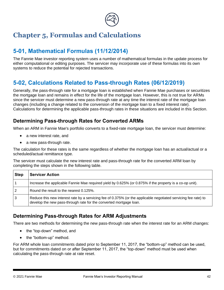

# <span id="page-47-0"></span>**Chapter 5, Formulas and Calculations**

# <span id="page-47-1"></span>**5-01, Mathematical Formulas (11/12/2014)**

The Fannie Mae investor reporting system uses a number of mathematical formulas in the update process for either computational or editing purposes. The servicer may incorporate use of these formulas into its own systems to reduce the potential for rejected transactions.

# <span id="page-47-2"></span>**5-02, Calculations Related to Pass-through Rates (06/12/2019)**

Generally, the pass-through rate for a mortgage loan is established when Fannie Mae purchases or securitizes the mortgage loan and remains in effect for the life of the mortgage loan. However, this is not true for ARMs since the servicer must determine a new pass-through rate at any time the interest rate of the mortgage loan changes (including a change related to the conversion of the mortgage loan to a fixed interest rate). Calculations for determining the applicable pass-through rates in these situations are included in this Section.

### <span id="page-47-3"></span>**Determining Pass-through Rates for Converted ARMs**

When an ARM in Fannie Mae's portfolio converts to a fixed-rate mortgage loan, the servicer must determine:

- a new interest rate, and
- a new pass-through rate.

The calculation for these rates is the same regardless of whether the mortgage loan has an actual/actual or a scheduled/actual remittance type.

The servicer must calculate the new interest rate and pass-through rate for the converted ARM loan by completing the steps shown in the following table.

| <b>Step</b>    | <b>Servicer Action</b>                                                                                                                                                                |  |  |  |  |  |  |
|----------------|---------------------------------------------------------------------------------------------------------------------------------------------------------------------------------------|--|--|--|--|--|--|
|                | Increase the applicable Fannie Mae required yield by 0.625% (or 0.875% if the property is a co-op unit).                                                                              |  |  |  |  |  |  |
| $\overline{2}$ | Round the result to the nearest 0.125%.                                                                                                                                               |  |  |  |  |  |  |
| ا 3            | Reduce this new interest rate by a servicing fee of 0.375% (or the applicable negotiated servicing fee rate) to<br>develop the new pass-through rate for the converted mortgage loan. |  |  |  |  |  |  |

### <span id="page-47-4"></span>**Determining Pass-through Rates for ARM Adjustments**

There are two methods for determining the new pass-through rate when the interest rate for an ARM changes:

- the "top-down" method, and
- the "bottom-up" method.

For ARM whole loan commitments dated prior to September 11, 2017, the "bottom-up" method can be used, but for commitments dated on or after September 11, 2017, the "top-down" method must be used when calculating the pass-through rate at rate reset.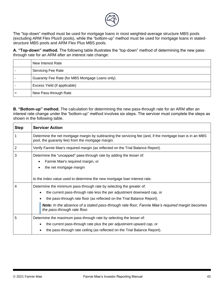

The "top-down" method must be used for mortgage loans in most weighted-average structure MBS pools (excluding ARM Flex Plus® pools), while the "bottom-up" method must be used for mortgage loans in statedstructure MBS pools and ARM Flex Plus MBS pools.

*1T***A. "Top-down" method.** The following table illustrates the "top-down" method of determining the new passthrough rate for an ARM after an interest rate change:

| New Interest Rate                               |
|-------------------------------------------------|
| Servicing Fee Rate                              |
| Guaranty Fee Rate (for MBS Mortgage Loans only) |
| Excess Yield (if applicable)                    |
| New Pass-through Rate                           |

**B. "Bottom-up" method.** The calculation for determining the new pass-through rate for an ARM after an interest rate change under the "bottom-up" method involves six steps. The servicer must complete the steps as shown in the following table.

| <b>Step</b> | <b>Servicer Action</b>                                                                                                                                                                                                                                                                                                                                                          |  |  |  |  |  |  |  |  |  |
|-------------|---------------------------------------------------------------------------------------------------------------------------------------------------------------------------------------------------------------------------------------------------------------------------------------------------------------------------------------------------------------------------------|--|--|--|--|--|--|--|--|--|
|             | Determine the net mortgage margin by subtracting the servicing fee (and, if the mortgage loan is in an MBS<br>pool, the guaranty fee) from the mortgage margin.                                                                                                                                                                                                                 |  |  |  |  |  |  |  |  |  |
| 2           | Verify Fannie Mae's required margin (as reflected on the Trial Balance Report).                                                                                                                                                                                                                                                                                                 |  |  |  |  |  |  |  |  |  |
| 3           | Determine the "uncapped" pass-through rate by adding the lesser of:<br>Fannie Mae's required margin, or<br>the net mortgage margin                                                                                                                                                                                                                                              |  |  |  |  |  |  |  |  |  |
|             | to the index value used to determine the new mortgage loan interest rate.                                                                                                                                                                                                                                                                                                       |  |  |  |  |  |  |  |  |  |
| 4           | Determine the minimum pass-through rate by selecting the greater of:<br>the current pass-through rate less the per adjustment downward cap, or<br>$\bullet$<br>the pass-through rate floor (as reflected on the Trial Balance Report).<br><b>Note:</b> In the absence of a stated pass-through rate floor, Fannie Mae's required margin becomes<br>the pass-through rate floor. |  |  |  |  |  |  |  |  |  |
| 5           | Determine the maximum pass-through rate by selecting the lesser of:<br>the current pass-through rate plus the per adjustment upward cap, or<br>٠<br>the pass-through rate ceiling (as reflected on the Trial Balance Report).                                                                                                                                                   |  |  |  |  |  |  |  |  |  |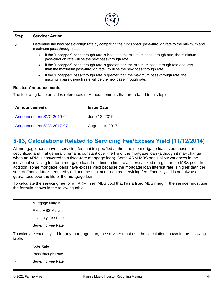<span id="page-49-0"></span>

| <b>Step</b> | <b>Servicer Action</b>                                                                                                                                                               |  |  |  |  |  |  |  |  |  |
|-------------|--------------------------------------------------------------------------------------------------------------------------------------------------------------------------------------|--|--|--|--|--|--|--|--|--|
| 6           | Determine the new pass-through rate by comparing the "uncapped" pass-through rate to the minimum and<br>maximum pass-through rates.                                                  |  |  |  |  |  |  |  |  |  |
|             | If the "uncapped" pass-through rate is less than the minimum pass-through rate, the minimum<br>$\bullet$<br>pass-through rate will be the new pass-through rate.                     |  |  |  |  |  |  |  |  |  |
|             | If the "uncapped" pass-through rate is greater than the minimum pass-through rate and less<br>$\bullet$<br>than the maximum pass-through rate, it will be the new pass-through rate. |  |  |  |  |  |  |  |  |  |
|             | If the "uncapped" pass-through rate is greater than the maximum pass-through rate, the<br>$\bullet$<br>maximum pass-through rate will be the new pass-through rate.                  |  |  |  |  |  |  |  |  |  |

#### **Related Announcements**

The following table provides references to Announcements that are related to this topic.

| <b>Announcements</b>     | <b>Issue Date</b> |
|--------------------------|-------------------|
| Announcement SVC-2019-04 | June 12, 2019     |
| Announcement SVC-2017-07 | August 16, 2017   |

# **5-03, Calculations Related to Servicing Fee/Excess Yield (11/12/2014)**

All mortgage loans have a servicing fee that is specified at the time the mortgage loan is purchased or securitized and that generally remains constant over the life of the mortgage loan (although it may change when an ARM is converted to a fixed-rate mortgage loan). Some ARM MBS pools allow variances in the individual servicing fee for a mortgage loan from time to time to achieve a fixed margin for the MBS pool. In addition, some mortgage loans have excess yield because the mortgage loan interest rate is higher than the sum of Fannie Mae's required yield and the minimum required servicing fee. Excess yield is not always guaranteed over the life of the mortgage loan.

To calculate the servicing fee for an ARM in an MBS pool that has a fixed MBS margin, the servicer must use the formula shown in the following table.

| Mortgage Margin           |
|---------------------------|
| Fixed MBS Margin          |
| <b>Guaranty Fee Rate</b>  |
| <b>Servicing Fee Rate</b> |

To calculate excess yield for any mortgage loan, the servicer must use the calculation shown in the following table.

| Note Rate                      |
|--------------------------------|
| <sup> </sup> Pass-through Rate |
| Servicing Fee Rate             |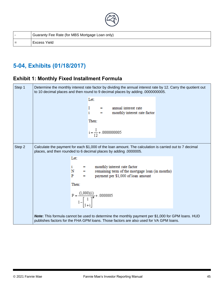

|     | Guaranty Fee Rate (for MBS Mortgage Loan only) |  |  |  |  |  |
|-----|------------------------------------------------|--|--|--|--|--|
| $=$ | Excess Yield                                   |  |  |  |  |  |

# <span id="page-50-0"></span>**5-04, Exhibits (01/18/2017)**

### <span id="page-50-1"></span>**Exhibit 1: Monthly Fixed Installment Formula**

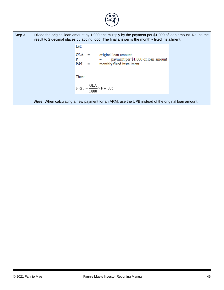

| Step 3 | Divide the original loan amount by 1,000 and multiply by the payment per \$1,000 of loan amount. Round the<br>result to 2 decimal places by adding .005. The final answer is the monthly fixed installment. |  |  |  |  |  |
|--------|-------------------------------------------------------------------------------------------------------------------------------------------------------------------------------------------------------------|--|--|--|--|--|
|        | Let:                                                                                                                                                                                                        |  |  |  |  |  |
|        | OLA –<br>original loan amount<br>$\blacksquare$<br>payment per \$1,000 of loan amount<br>P<br>P&I<br>monthly fixed installment                                                                              |  |  |  |  |  |
|        | Then:                                                                                                                                                                                                       |  |  |  |  |  |
|        | $P & I = \frac{OLA}{1000} \times P + .005$                                                                                                                                                                  |  |  |  |  |  |
|        |                                                                                                                                                                                                             |  |  |  |  |  |
|        | <b>Note:</b> When calculating a new payment for an ARM, use the UPB instead of the original loan amount.                                                                                                    |  |  |  |  |  |
|        |                                                                                                                                                                                                             |  |  |  |  |  |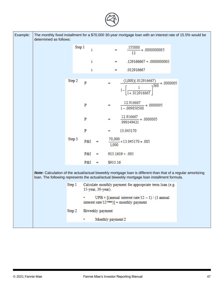| Example: | determined as follows: |        |         |                    |                   | The monthly fixed installment for a \$70,000 30-year mortgage loan with an interest rate of 15.5% would be                                                                                                   |  |
|----------|------------------------|--------|---------|--------------------|-------------------|--------------------------------------------------------------------------------------------------------------------------------------------------------------------------------------------------------------|--|
|          |                        | Step 1 | $\rm i$ |                    |                   | $=$ $\frac{.155000}{12} + .0000000005$                                                                                                                                                                       |  |
|          |                        |        | i       |                    | $\equiv$          | $.129166667 + .0000000005$                                                                                                                                                                                   |  |
|          |                        |        | i       |                    | -                 | .012916667                                                                                                                                                                                                   |  |
|          |                        | Step 2 | P       |                    |                   | $\frac{(1,000)(.012916667)}{1-\left[\frac{1}{1+.012916667}\right]^{360}}+.0000005$                                                                                                                           |  |
|          |                        |        | P       |                    | $\equiv$          | $\frac{12.916667}{1-.009850580}+.0000005$                                                                                                                                                                    |  |
|          |                        |        | P       |                    | -                 | $\frac{12.916667}{.990149421} + .0000005$                                                                                                                                                                    |  |
|          |                        |        | P       |                    | ≕                 | 13.045170                                                                                                                                                                                                    |  |
|          |                        | Step 3 | P&I     |                    |                   | $\frac{70,000}{1,000}$ × 13.045170 + .005                                                                                                                                                                    |  |
|          |                        |        | P&I     | -                  |                   | $913.1619 + .005$                                                                                                                                                                                            |  |
|          |                        |        | $P&I =$ |                    | \$913.16          |                                                                                                                                                                                                              |  |
|          |                        |        |         |                    |                   | Note: Calculation of the actual/actual biweekly mortgage loan is different than that of a regular amortizing<br>loan. The following represents the actual/actual biweekly mortgage loan installment formula. |  |
|          |                        | Step 1 |         | 15-year, 30-year). |                   | Calculate monthly payment for appropriate term loan (e.g.                                                                                                                                                    |  |
|          |                        |        |         |                    |                   | UPB $\times$ [(annual interest rate/12 - 1) / (1 annual<br>interest rate/12 <sup>-term</sup> )] = monthly payment                                                                                            |  |
|          |                        | Step 2 |         | Biweekly payment   |                   |                                                                                                                                                                                                              |  |
|          |                        |        | ٠       |                    | Monthly payment/2 |                                                                                                                                                                                                              |  |
|          |                        |        |         |                    |                   |                                                                                                                                                                                                              |  |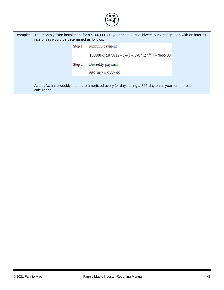

| Example: | rate of 7% would be determined as follows: |        | The monthly fixed installment for a \$100,000 30-year actual/actual biweekly mortgage loan with an interest |  |
|----------|--------------------------------------------|--------|-------------------------------------------------------------------------------------------------------------|--|
|          |                                            |        |                                                                                                             |  |
|          |                                            |        | $100000 \times [(070/12-1)/(1-.070/12^{-360})] = $665.30$                                                   |  |
|          |                                            | Step 2 | Biweekly payment                                                                                            |  |
|          |                                            |        | $665.30/2 = $332.65$                                                                                        |  |
|          | calculation.                               |        | Actual/Actual biweekly loans are amortized every 14 days using a 365-day basis year for interest            |  |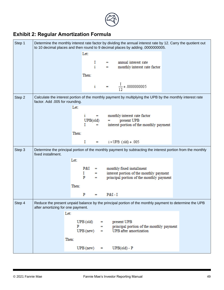

# <span id="page-54-0"></span>**Exhibit 2: Regular Amortization Formula**

| Step 1 | Determine the monthly interest rate factor by dividing the annual interest rate by 12. Carry the quotient out<br>to 10 decimal places and then round to 9 decimal places by adding .0000000005. |                   |                   |         |                                                                                                             |  |  |  |  |
|--------|-------------------------------------------------------------------------------------------------------------------------------------------------------------------------------------------------|-------------------|-------------------|---------|-------------------------------------------------------------------------------------------------------------|--|--|--|--|
|        |                                                                                                                                                                                                 | Let:              |                   |         |                                                                                                             |  |  |  |  |
|        |                                                                                                                                                                                                 |                   |                   |         | = annual interest rate<br>= monthly interest rate factor                                                    |  |  |  |  |
|        |                                                                                                                                                                                                 | Then:             |                   |         |                                                                                                             |  |  |  |  |
|        |                                                                                                                                                                                                 |                   |                   |         | i = $\frac{1}{12} + .0000000005$                                                                            |  |  |  |  |
| Step 2 | factor. Add .005 for rounding.                                                                                                                                                                  |                   |                   |         | Calculate the interest portion of the monthly payment by multiplying the UPB by the monthly interest rate   |  |  |  |  |
|        |                                                                                                                                                                                                 | Let:              |                   |         |                                                                                                             |  |  |  |  |
|        |                                                                                                                                                                                                 | $\mathbf{i}$      | UPB(old)          | $=$ $-$ | = monthly interest rate factor<br>present UPB                                                               |  |  |  |  |
|        |                                                                                                                                                                                                 | L                 | $=$               |         | interest portion of the monthly payment                                                                     |  |  |  |  |
|        |                                                                                                                                                                                                 | Then:             |                   |         |                                                                                                             |  |  |  |  |
|        |                                                                                                                                                                                                 | 1                 |                   |         | $=$ i $\times$ UPB (old) + .005                                                                             |  |  |  |  |
| Step 3 | fixed installment.                                                                                                                                                                              |                   |                   |         | Determine the principal portion of the monthly payment by subtracting the interest portion from the monthly |  |  |  |  |
|        |                                                                                                                                                                                                 | Let:              |                   |         |                                                                                                             |  |  |  |  |
|        |                                                                                                                                                                                                 | P&I               |                   |         | = monthly fixed installment<br>= interest portion of the mon                                                |  |  |  |  |
|        |                                                                                                                                                                                                 | $\mathbf{I}$<br>P | -                 |         | interest portion of the monthly payment<br>principal portion of the monthly payment                         |  |  |  |  |
|        |                                                                                                                                                                                                 | Then:             |                   |         |                                                                                                             |  |  |  |  |
|        |                                                                                                                                                                                                 |                   |                   |         |                                                                                                             |  |  |  |  |
|        |                                                                                                                                                                                                 | P                 | $\equiv$          | $P&I-I$ |                                                                                                             |  |  |  |  |
| Step 4 | Reduce the present unpaid balance by the principal portion of the monthly payment to determine the UPB<br>after amortizing for one payment.                                                     |                   |                   |         |                                                                                                             |  |  |  |  |
|        | Let:                                                                                                                                                                                            |                   |                   |         |                                                                                                             |  |  |  |  |
|        |                                                                                                                                                                                                 | $UPB$ (old)       | =                 |         | present UPB                                                                                                 |  |  |  |  |
|        |                                                                                                                                                                                                 | P<br>$UPB$ (new)  | $\equiv$          | $=$ $-$ | principal portion of the monthly payment<br>UPB after amortization                                          |  |  |  |  |
|        |                                                                                                                                                                                                 | Then:             |                   |         |                                                                                                             |  |  |  |  |
|        |                                                                                                                                                                                                 |                   |                   |         |                                                                                                             |  |  |  |  |
|        |                                                                                                                                                                                                 | $UPB$ (new)       | $\qquad \qquad =$ |         | $UPB(old) - P$                                                                                              |  |  |  |  |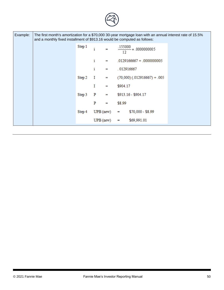| Example: | The first month's amortization for a \$70,000 30-year mortgage loan with an annual interest rate of 15.5%<br>and a monthly fixed installment of \$913.16 would be computed as follows: |        |    |                            |          |                                               |  |  |  |  |
|----------|----------------------------------------------------------------------------------------------------------------------------------------------------------------------------------------|--------|----|----------------------------|----------|-----------------------------------------------|--|--|--|--|
|          |                                                                                                                                                                                        |        |    |                            |          | Step 1 $i = \frac{.155000}{12} + .0000000005$ |  |  |  |  |
|          |                                                                                                                                                                                        |        | i  | <b>Contract Contract</b>   |          | $.0129166667 + .0000000005$                   |  |  |  |  |
|          |                                                                                                                                                                                        |        | i. | $=$ $-$                    |          | .012916667                                    |  |  |  |  |
|          |                                                                                                                                                                                        |        |    |                            |          | Step 2 $I = (70,000) (.012916667) + .005$     |  |  |  |  |
|          |                                                                                                                                                                                        |        | I  | $\equiv$ $\equiv$ $\equiv$ | \$904.17 |                                               |  |  |  |  |
|          |                                                                                                                                                                                        |        |    |                            |          | Step 3 P = $$913.16 - $904.17$                |  |  |  |  |
|          |                                                                                                                                                                                        |        |    | $P =$                      | \$8.99   |                                               |  |  |  |  |
|          |                                                                                                                                                                                        | Step 4 |    | $UPB(new)$ =               |          | $$70,000 - $8.99$                             |  |  |  |  |
|          |                                                                                                                                                                                        |        |    |                            |          | $UPB(new) =$ \$69,991.01                      |  |  |  |  |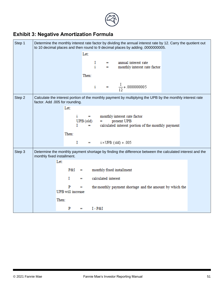

# <span id="page-56-0"></span>**Exhibit 3: Negative Amortization Formula**

| Step 1 |                                |                          |                 |             |           |                     | Determine the monthly interest rate factor by dividing the annual interest rate by 12. Carry the quotient out<br>to 10 decimal places and then round to 9 decimal places by adding .0000000005. |  |  |
|--------|--------------------------------|--------------------------|-----------------|-------------|-----------|---------------------|-------------------------------------------------------------------------------------------------------------------------------------------------------------------------------------------------|--|--|
|        |                                |                          |                 | Let:        |           |                     |                                                                                                                                                                                                 |  |  |
|        |                                |                          |                 |             |           |                     | $I$ = annual interest rate<br>i = monthly interest rate factor                                                                                                                                  |  |  |
|        |                                |                          |                 | Then:       |           |                     |                                                                                                                                                                                                 |  |  |
|        |                                |                          |                 |             |           |                     | i = $\frac{1}{12} + 0.0000000005$                                                                                                                                                               |  |  |
| Step 2 | factor. Add .005 for rounding. |                          |                 |             |           |                     | Calculate the interest portion of the monthly payment by multiplying the UPB by the monthly interest rate                                                                                       |  |  |
|        |                                | Let:                     |                 |             |           |                     |                                                                                                                                                                                                 |  |  |
|        |                                |                          |                 |             |           |                     | i = monthly interest rate factor                                                                                                                                                                |  |  |
|        |                                |                          | T.              | $UPB$ (old) | $\equiv$  |                     | present UPB<br>= calculated interest portion of the monthly payment                                                                                                                             |  |  |
|        |                                | Then:                    |                 |             |           |                     |                                                                                                                                                                                                 |  |  |
|        |                                |                          |                 |             |           |                     | $=$ i × UPB (old) + .005                                                                                                                                                                        |  |  |
|        |                                |                          | I               |             |           |                     |                                                                                                                                                                                                 |  |  |
| Step 3 | monthly fixed installment.     |                          |                 |             |           |                     | Determine the monthly payment shortage by finding the difference between the calculated interest and the                                                                                        |  |  |
|        |                                | Let:                     |                 |             |           |                     |                                                                                                                                                                                                 |  |  |
|        |                                |                          | P&I<br>$\equiv$ |             |           |                     | monthly fixed installment                                                                                                                                                                       |  |  |
|        |                                | T                        | Ξ.              |             |           | calculated interest |                                                                                                                                                                                                 |  |  |
|        |                                | P                        | $=$ $-$         |             |           |                     | the monthly payment shortage and the amount by which the                                                                                                                                        |  |  |
|        |                                | <b>UPB</b> will increase |                 |             |           |                     |                                                                                                                                                                                                 |  |  |
|        |                                | Then:                    |                 |             |           |                     |                                                                                                                                                                                                 |  |  |
|        |                                |                          | <b>P</b>        |             | $I - P&I$ |                     |                                                                                                                                                                                                 |  |  |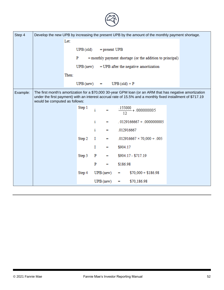| Step 4   |                               |                             |                                          |               |          | Develop the new UPB by increasing the present UPB by the amount of the monthly payment shortage. |                                                                                                                                                                                                                         |
|----------|-------------------------------|-----------------------------|------------------------------------------|---------------|----------|--------------------------------------------------------------------------------------------------|-------------------------------------------------------------------------------------------------------------------------------------------------------------------------------------------------------------------------|
|          | Let:                          |                             |                                          |               |          |                                                                                                  |                                                                                                                                                                                                                         |
|          |                               | $UPB$ (old) = present $UPB$ |                                          |               |          |                                                                                                  |                                                                                                                                                                                                                         |
|          |                               | P                           |                                          |               |          | = monthly payment shortage (or the addition to principal)                                        |                                                                                                                                                                                                                         |
|          |                               |                             |                                          |               |          | $UPB$ (new) = $UPB$ after the negative amortization                                              |                                                                                                                                                                                                                         |
|          |                               |                             |                                          |               |          |                                                                                                  |                                                                                                                                                                                                                         |
|          |                               | Then:                       |                                          |               |          |                                                                                                  |                                                                                                                                                                                                                         |
|          |                               | $UPB(new)$ = $UPB(old) + P$ |                                          |               |          |                                                                                                  |                                                                                                                                                                                                                         |
| Example: | would be computed as follows: |                             |                                          |               |          |                                                                                                  | The first month's amortization for a \$70,000 30-year GPM loan (or an ARM that has negative amortization<br>under the first payment) with an interest accrual rate of 15.5% and a monthly fixed installment of \$717.19 |
|          |                               | Step 1                      | $\mathbf{i}$ $\mathbf{j}$ = $\mathbf{k}$ |               |          | $\frac{.155000}{12} + .0000000005$                                                               |                                                                                                                                                                                                                         |
|          |                               |                             | i                                        | $\equiv$      |          | $.0129166667 + .0000000005$                                                                      |                                                                                                                                                                                                                         |
|          |                               |                             | i.                                       | ₩.            |          | .012916667                                                                                       |                                                                                                                                                                                                                         |
|          |                               | Step 2                      | $\bf{I}$                                 | $=$ $-$       |          | $.012916667 \times 70,000 + .005$                                                                |                                                                                                                                                                                                                         |
|          |                               |                             | I                                        | ₩.            | \$904.17 |                                                                                                  |                                                                                                                                                                                                                         |
|          |                               | Step 3                      | P <sub>1</sub>                           | and the state |          | \$904.17 - \$717.19                                                                              |                                                                                                                                                                                                                         |
|          |                               |                             |                                          |               |          |                                                                                                  |                                                                                                                                                                                                                         |
|          |                               |                             | P                                        | $=$ $-$       | \$186.98 |                                                                                                  |                                                                                                                                                                                                                         |
|          |                               | Step 4                      |                                          | $UPB$ (new)   | $=$ $-$  | $$70,000 + $186.98$                                                                              |                                                                                                                                                                                                                         |
|          |                               |                             |                                          | $UPB$ (new)   | e a s    | \$70,186.98                                                                                      |                                                                                                                                                                                                                         |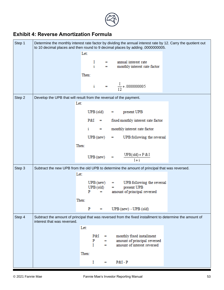

### <span id="page-58-0"></span>**Exhibit 4: Reverse Amortization Formula**

| Step 1 |                                                                    |                             | Determine the monthly interest rate factor by dividing the annual interest rate by 12. Carry the quotient out<br>to 10 decimal places and then round to 9 decimal places by adding .0000000005. |  |
|--------|--------------------------------------------------------------------|-----------------------------|-------------------------------------------------------------------------------------------------------------------------------------------------------------------------------------------------|--|
|        |                                                                    | Let:                        |                                                                                                                                                                                                 |  |
|        |                                                                    |                             | = annual interest rate<br>= monthly interest rate factor                                                                                                                                        |  |
|        |                                                                    | Then:                       |                                                                                                                                                                                                 |  |
|        |                                                                    |                             | i = $\frac{1}{12} + .0000000005$                                                                                                                                                                |  |
| Step 2 | Develop the UPB that will result from the reversal of the payment. | Let:                        |                                                                                                                                                                                                 |  |
|        |                                                                    |                             | $UPB$ (old) = present $UPB$                                                                                                                                                                     |  |
|        |                                                                    |                             | $P&I =$ fixed monthly interest rate factor                                                                                                                                                      |  |
|        |                                                                    | i                           | = monthly interest rate factor                                                                                                                                                                  |  |
|        |                                                                    | $UPB$ (new)                 | UPB following the reversal<br><b>Expanding</b>                                                                                                                                                  |  |
|        |                                                                    | Then:                       |                                                                                                                                                                                                 |  |
|        |                                                                    | $UPB$ (new)                 | $\frac{\text{UPB}(\text{old}) + \text{P} & \& \text{I}}{1 + \text{i}}$<br>$=$                                                                                                                   |  |
| Step 3 |                                                                    |                             | Subtract the new UPB from the old UPB to determine the amount of principal that was reversed.                                                                                                   |  |
|        |                                                                    | Let:                        |                                                                                                                                                                                                 |  |
|        |                                                                    | $UPB(new)$ =<br>$UPB$ (old) | UPB following the reversal<br>present UPB<br><b>E</b> 1                                                                                                                                         |  |
|        |                                                                    | P<br>$\blacksquare$         | amount of principal reversed                                                                                                                                                                    |  |
|        |                                                                    | Then:                       |                                                                                                                                                                                                 |  |
|        |                                                                    | P<br>п                      | $UPB$ (new) - $UPB$ (old)                                                                                                                                                                       |  |
| Step 4 | interest that was reversed.                                        |                             | Subtract the amount of principal that was reversed from the fixed installment to determine the amount of                                                                                        |  |
|        |                                                                    | Let:                        |                                                                                                                                                                                                 |  |
|        |                                                                    | P&I<br>⊨<br>P<br>T<br>=     | monthly fixed installment<br>amount of principal reversed<br><b>.</b><br>amount of interest reversed                                                                                            |  |
|        |                                                                    | Then:                       |                                                                                                                                                                                                 |  |
|        |                                                                    | I<br>$\equiv$               | $P&I-P$                                                                                                                                                                                         |  |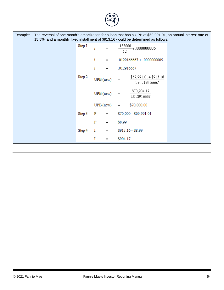| Example: | 15.5%, and a monthly fixed installment of \$913.16 would be determined as follows: |        |    |                                                           |          |                                            | The reversal of one month's amortization for a loan that has a UPB of \$69,991.01, an annual interest rate of |
|----------|------------------------------------------------------------------------------------|--------|----|-----------------------------------------------------------|----------|--------------------------------------------|---------------------------------------------------------------------------------------------------------------|
|          |                                                                                    | Step 1 | i  | $\mathcal{L}^{\text{max}}$ and $\mathcal{L}^{\text{max}}$ | 12       | $\frac{.155000}{.} + .0000000005$          |                                                                                                               |
|          |                                                                                    |        | i  | $\equiv$                                                  |          | $.0129166667 + .0000000005$                |                                                                                                               |
|          |                                                                                    |        | i. | -                                                         |          | .012916667                                 |                                                                                                               |
|          |                                                                                    | Step 2 |    | $UPB$ (new)                                               | ≕        | $$69,991.01 + $913.16$<br>$1 + .012916667$ |                                                                                                               |
|          |                                                                                    |        |    | $UPB$ (new)                                               | ⊨        | \$70,904.17<br>1.012916667                 |                                                                                                               |
|          |                                                                                    |        |    | $UPB$ (new)                                               | Ξ.       | \$70,000.00                                |                                                                                                               |
|          |                                                                                    | Step 3 | P  | Ξ.                                                        |          | \$70,000 - \$69,991.01                     |                                                                                                               |
|          |                                                                                    |        | P  | $\qquad \qquad =\qquad \qquad$                            | \$8.99   |                                            |                                                                                                               |
|          |                                                                                    | Step 4 | I  | $=$                                                       |          | $$913.16 - $8.99$                          |                                                                                                               |
|          |                                                                                    |        | I  | н                                                         | \$904.17 |                                            |                                                                                                               |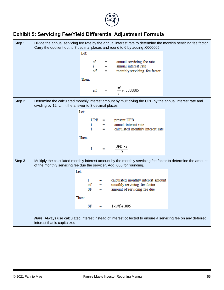

# <span id="page-60-0"></span>**Exhibit 5: Servicing Fee/Yield Differential Adjustment Formula**

| Step 1 |                                                                       |       |  | Divide the annual servicing fee rate by the annual interest rate to determine the monthly servicing fee factor.<br>Carry the quotient out to 7 decimal places and round to 6 by adding .0000005. |  |
|--------|-----------------------------------------------------------------------|-------|--|--------------------------------------------------------------------------------------------------------------------------------------------------------------------------------------------------|--|
|        |                                                                       | Let:  |  |                                                                                                                                                                                                  |  |
|        |                                                                       |       |  | $\begin{array}{rcl}\nsf & = & \text{annual serving fee rate} \\ i & = & \text{annual interest rate} \\ s/f & = & \text{monthly serving fee factor}\n\end{array}$                                 |  |
|        |                                                                       | Then: |  |                                                                                                                                                                                                  |  |
|        |                                                                       |       |  | s/f = $\frac{sf}{i}$ + .0000005                                                                                                                                                                  |  |
| Step 2 | dividing by 12. Limit the answer to 3 decimal places.                 |       |  | Determine the calculated monthly interest amount by multiplying the UPB by the annual interest rate and                                                                                          |  |
|        |                                                                       | Let:  |  |                                                                                                                                                                                                  |  |
|        |                                                                       |       |  | $\begin{tabular}{ll} UPB & = & \quad \text{present UPB} \end{tabular}$<br>$i$ = $i$ annual interest rate<br>$I$ = $i$ calculated monthly interest rate                                           |  |
|        |                                                                       | Then: |  |                                                                                                                                                                                                  |  |
|        |                                                                       |       |  | $I = \frac{UPB \times i}{12}$                                                                                                                                                                    |  |
| Step 3 | of the monthly servicing fee due the servicer. Add .005 for rounding. |       |  | Multiply the calculated monthly interest amount by the monthly servicing fee factor to determine the amount                                                                                      |  |
|        |                                                                       | Let:  |  |                                                                                                                                                                                                  |  |
|        |                                                                       |       |  | $I$ = calculated monthly interest amount<br>s/f = monthly servicing fee factor<br>SF = amount of servicing fee due                                                                               |  |
|        |                                                                       | Then: |  |                                                                                                                                                                                                  |  |
|        |                                                                       |       |  | $SF = I \times s/f + .005$                                                                                                                                                                       |  |
|        | interest that is capitalized.                                         |       |  | Note: Always use calculated interest instead of interest collected to ensure a servicing fee on any deferred                                                                                     |  |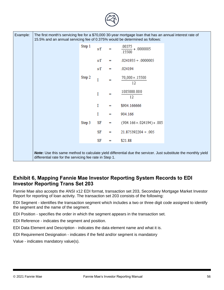| Example: | 15.5% and an annual servicing fee of 0.375% would be determined as follows: |        |     |          | The first month's servicing fee for a \$70,000 30-year mortgage loan that has an annual interest rate of       |  |
|----------|-----------------------------------------------------------------------------|--------|-----|----------|----------------------------------------------------------------------------------------------------------------|--|
|          |                                                                             | Step 1 | s/f |          | .00375<br>$- + .0000005$<br>.15500                                                                             |  |
|          |                                                                             |        | s/f | ≕        | $.0241935 + .0000005$                                                                                          |  |
|          |                                                                             |        | s/f | $\equiv$ | .024194                                                                                                        |  |
|          |                                                                             | Step 2 | I   |          | 70,000 × .15500<br>12                                                                                          |  |
|          |                                                                             |        | I   | =        | 1085000.000<br>12                                                                                              |  |
|          |                                                                             |        | I   | ≕        | \$904.166666                                                                                                   |  |
|          |                                                                             |        | I   |          | 904.166                                                                                                        |  |
|          |                                                                             | Step 3 | SF  |          | $(904.166 \times 024194) + 0.005$                                                                              |  |
|          |                                                                             |        | SF  | $\equiv$ | 21.875392204 + .005                                                                                            |  |
|          |                                                                             |        | SF  | н        | \$21.88                                                                                                        |  |
|          | differential rate for the servicing fee rate in Step 1.                     |        |     |          | Note: Use this same method to calculate yield differential due the servicer. Just substitute the monthly yield |  |

### <span id="page-61-0"></span>**Exhibit 6, Mapping Fannie Mae Investor Reporting System Records to EDI Investor Reporting Trans Set 203**

Fannie Mae also accepts the ANSI x12 EDI format, transaction set 203, Secondary Mortgage Market Investor Report for reporting of loan activity. The transaction set 203 consists of the following:

EDI Segment - identifies the transaction segment which includes a two or three digit code assigned to identify the segment and the name of the segment.

EDI Position - specifies the order in which the segment appears in the transaction set.

EDI Reference - indicates the segment and position.

EDI Data Element and Description - indicates the data element name and what it is.

EDI Requirement Designation - indicates if the field and/or segment is mandatory

Value - indicates mandatory value(s).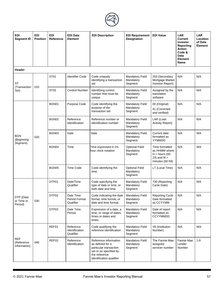

| <b>EDI</b><br><b>Segment ID</b>          | <b>EDI</b><br><b>Position</b> | <b>EDI</b><br><b>Reference</b> | <b>EDI Data</b><br><b>Element</b>        | <b>EDI Description</b>                                                                                                                     | <b>EDI Requirement</b><br><b>Designation</b>   | <b>EDI Value</b>                                                                        | <b>LAR</b><br>Current<br><b>Investor</b><br>Reporting<br><b>Action</b><br>Code &<br>Data<br><b>Element</b><br>Name | <b>LAR</b><br>Location<br>of Data<br>Element |
|------------------------------------------|-------------------------------|--------------------------------|------------------------------------------|--------------------------------------------------------------------------------------------------------------------------------------------|------------------------------------------------|-----------------------------------------------------------------------------------------|--------------------------------------------------------------------------------------------------------------------|----------------------------------------------|
| Header                                   |                               |                                |                                          |                                                                                                                                            |                                                |                                                                                         |                                                                                                                    |                                              |
| <b>ST</b><br>(Transaction                | 010                           | ST <sub>01</sub>               | <b>Identifier Code</b>                   | Code uniquely<br>identifying a transaction<br>set                                                                                          | <b>Mandatory Field</b><br>Mandatory<br>Segment | 203 (Secondary<br>Mortgage Market<br>Investor Report)                                   | N/A                                                                                                                | N/A                                          |
| Set)                                     |                               | <b>ST02</b>                    | <b>Control Number</b>                    | Identifying control<br>number that must be<br>unique                                                                                       | <b>Mandatory Field</b><br>Mandatory<br>Segment | Assigned by the<br>translation<br>software                                              | N/A                                                                                                                | N/A                                          |
|                                          |                               | BGN01                          | Purpose Code                             | Code identifying the<br>purpose of the<br>transaction set                                                                                  | <b>Mandatory Field</b><br>Mandatory<br>Segment | 00 (Original)<br>41 (Corrected<br>and verified)                                         | N/A                                                                                                                | N/A                                          |
|                                          |                               | BGN02                          | Reference<br>Identification              | Reference number or<br>identification number                                                                                               | <b>Mandatory Field</b><br>Mandatory<br>Segment | LAR (Loan<br><b>Activity Report)</b>                                                    | N/A                                                                                                                | N/A                                          |
| <b>BGN</b><br>(Beginning<br>Segment)     | 020                           | BGN03                          | Date                                     | Date                                                                                                                                       | <b>Mandatory Field</b><br>Mandatory<br>Segment | Current date<br>formatted as<br>YYMMDD                                                  | N/A                                                                                                                | N/A                                          |
|                                          |                               | BGN04                          | Time                                     | Time expressed in 24-<br>hour clock notation                                                                                               | <b>Optional Field</b><br>Mandatory<br>Segment  | Time formatted<br>as HHMM where<br>$H =$ hours (00-<br>23) and $M =$<br>minutes (00-59) | N/A                                                                                                                | N/A                                          |
|                                          |                               | BGN05                          | <b>Time Code</b>                         | Code identifying the<br>time.                                                                                                              | <b>Optional Field</b><br>Mandatory<br>Segment  | LT (Local Time)                                                                         | N/A                                                                                                                | N/A                                          |
|                                          |                               | DTP01                          | Date/Time<br>Qualifier                   | Code specifying the<br>type of date or time, or<br>both date and time                                                                      | <b>Mandatory Field</b><br>Mandatory<br>Segment | 730 (Reporting<br>Cycle Date)                                                           | N/A                                                                                                                | N/A                                          |
| DTP (Date<br>or Time or<br>Period)       | 030                           | DTP02                          | Date Time<br>Period Format<br>Qualifier  | Code indicating the date<br>format, time format, or<br>date and time format.                                                               | <b>Mandatory Field</b><br>Mandatory<br>Segment | <b>Reporting Cycle</b><br>Date formatted<br>as CCYYMM                                   | N/A                                                                                                                | N/A                                          |
|                                          |                               | DTP03                          | Date Time<br>Period                      | Expression of a date, a<br>time, or range of dates,<br>times or dates and<br>times.                                                        | <b>Mandatory Field</b><br>Mandatory<br>Segment | Date of report<br>formatted as<br><b>CCYYMMDD</b>                                       | N/A                                                                                                                | N/A                                          |
|                                          |                               | REF01                          | Reference<br>Identification<br>Qualifier | Code qualifying the<br>reference identification                                                                                            | <b>Mandatory Field</b><br>Mandatory<br>Segment | V8 (Institution<br>Number)                                                              | N/A                                                                                                                | N/A                                          |
| <b>REF</b><br>(Reference<br>Information) | 040                           | REF02                          | Reference<br>Identification              | Reference information<br>as defined for a<br>particular transaction<br>set or as specified by<br>the reference<br>identification qualifier | <b>Mandatory Field</b><br>Mandatory<br>Segment | The Fannie Mae<br>assigned<br>servicer number                                           | Fannie Mae<br>Lender<br>Number                                                                                     | $1 - 9$                                      |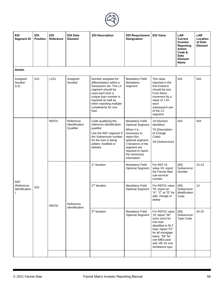

| <b>EDI</b><br><b>Segment ID</b> | <b>EDI</b><br><b>Position</b> | <b>EDI</b><br>Reference | <b>EDI Data</b><br>Element               | <b>EDI Description</b>                                                                                                                                                                                                          | <b>EDI Requirement</b><br><b>Designation</b>                                                                                                                                                                    | <b>EDI Value</b>                                                                                                                                                                                          | <b>LAR</b><br>Current<br>Investor<br>Reporting<br><b>Action</b><br>Code &<br>Data<br><b>Element</b><br>Name | <b>LAR</b><br>Location<br>of Data<br><b>Element</b> |
|---------------------------------|-------------------------------|-------------------------|------------------------------------------|---------------------------------------------------------------------------------------------------------------------------------------------------------------------------------------------------------------------------------|-----------------------------------------------------------------------------------------------------------------------------------------------------------------------------------------------------------------|-----------------------------------------------------------------------------------------------------------------------------------------------------------------------------------------------------------|-------------------------------------------------------------------------------------------------------------|-----------------------------------------------------|
| <b>Details</b>                  |                               |                         |                                          |                                                                                                                                                                                                                                 |                                                                                                                                                                                                                 |                                                                                                                                                                                                           |                                                                                                             |                                                     |
| Assigned<br>Number<br>(LX)      | 010                           | LX01                    | Assigned<br>Number                       | Number assigned for<br>differentiation within a<br>transaction set. The LX<br>segment should be<br>used each time a<br>unique loan number is<br>reported as well as<br>when reporting multiple<br>curtailments for one<br>loan. | Mandatory Field<br>Mandatory<br>Segment                                                                                                                                                                         | The value<br>reported in the<br>first instance<br>should be one.<br>From there,<br>increment by a<br>value of 1 for<br>each<br>subsequent use<br>of the LX<br>segment                                     | N/A                                                                                                         | N/A                                                 |
|                                 |                               | REF01                   | Reference<br>Identification<br>Qualifier | Code qualifying the<br>reference identification<br>qualifier<br>Use the REF segment if<br>the Subservicer number<br>for the loan is being<br>added, modified or<br>deleted.                                                     | <b>Mandatory Field</b><br><b>Optional Segment</b><br>When it is<br>necessary to<br>report this<br>optional segment,<br>3 iterations of the<br>segment are<br>required to report<br>the necessary<br>information | 19 (Division<br>Identifier)<br>T8 (Description<br>of Change<br>Code)<br>V9 (Subservicer)                                                                                                                  | N/A                                                                                                         | N/A                                                 |
| <b>REF</b>                      |                               |                         |                                          | 1 <sup>st</sup> iteration                                                                                                                                                                                                       | Mandatory Field<br><b>Optional Segment</b>                                                                                                                                                                      | For REF 01<br>value V9, report<br>the Fannie Mae<br>sub-servicer<br>number                                                                                                                                | (80)<br>Subservicer<br>Number                                                                               | $15 - 23$                                           |
| (Reference<br>Identification    | 020                           | REF02                   | Reference<br>Identification              | $2nd$ iteration                                                                                                                                                                                                                 | <b>Mandatory Field</b><br><b>Optional Segment</b>                                                                                                                                                               | For REF01 value<br>T8, report an<br>"A", "C" or "D" for<br>add, change or<br>delete                                                                                                                       | (80)<br>Subservicer<br>Modification<br>Code                                                                 | 14                                                  |
|                                 |                               |                         |                                          | 3 <sup>rd</sup> iteration                                                                                                                                                                                                       | Mandatory Field<br><b>Optional Segment</b>                                                                                                                                                                      | For REF01 value<br>19, report "00"<br>(zero zero) for<br>one loan<br>identified in RLT<br>loop; report "01"<br>for all mortgage<br>loans, "04" for<br>one MBS pool<br>and :09: for one<br>remittance type | (80)<br>Subservicer<br><b>Type Code</b>                                                                     | 24-25                                               |
|                                 |                               |                         |                                          |                                                                                                                                                                                                                                 |                                                                                                                                                                                                                 |                                                                                                                                                                                                           |                                                                                                             |                                                     |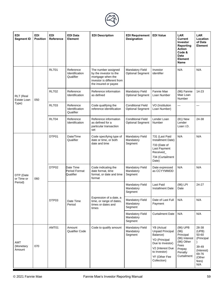

| <b>EDI</b><br><b>Segment ID</b> | <b>EDI</b><br><b>Position</b> | <b>EDI</b><br><b>Reference</b> | <b>EDI Data</b><br><b>Element</b>        | <b>EDI Description</b>                                                                                                   | <b>EDI Requirement</b><br><b>Designation</b>        | <b>EDI Value</b>                                                                                                                                           | <b>LAR</b><br><b>Current</b><br>Investor<br>Reporting<br><b>Action</b><br>Code &<br><b>Data</b><br>Element<br><b>Name</b> | <b>LAR</b><br>Location<br>of Data<br>Element                                                    |
|---------------------------------|-------------------------------|--------------------------------|------------------------------------------|--------------------------------------------------------------------------------------------------------------------------|-----------------------------------------------------|------------------------------------------------------------------------------------------------------------------------------------------------------------|---------------------------------------------------------------------------------------------------------------------------|-------------------------------------------------------------------------------------------------|
|                                 |                               | RLT01                          | Reference<br>Identification<br>Qualifier | The number assigned<br>by the investor to the<br>mortgage when the<br>investor is different from<br>the insured or payee | <b>Mandatory Field</b><br><b>Optional Segment</b>   | Investor<br>identifier                                                                                                                                     | N/A                                                                                                                       | N/A                                                                                             |
| RLT (Real<br>Estate Loan        | 050                           | RLT02                          | Reference<br>Identification              | Reference information<br>as defined                                                                                      | <b>Mandatory Field</b><br><b>Optional Segment</b>   | Fannie Mae<br>Loan Number                                                                                                                                  | (96) Fannie<br>Mae Loan<br>Number                                                                                         | 14-23                                                                                           |
| Type)                           |                               | RLT03                          | Reference<br>Identification<br>Qualifier | Code qualifying the<br>reference identification                                                                          | <b>Conditional Field</b><br><b>Optional Segment</b> | VO (Institution<br>Loan Number)                                                                                                                            |                                                                                                                           |                                                                                                 |
|                                 |                               | RLT04                          | Reference<br>Identification              | Reference information<br>as defined for a<br>particular transaction<br>set                                               | <b>Conditional Field</b><br><b>Optional Segment</b> | Lender Loan<br>Number                                                                                                                                      | (81) New<br>Lender<br>Loan I.D.                                                                                           | 24-38                                                                                           |
|                                 |                               | DTP01                          | Date/Time<br>Qualifier                   | Code specifying type of<br>date or time, or both<br>date and time                                                        | <b>Mandatory Field</b><br>Mandatory<br>Segment      | 731 (Last Paid<br>Installment Date)<br>733 (Date of<br>Last Payment<br>Received_<br>734 (Curtailment<br>Date)                                              | N/A                                                                                                                       | N/A                                                                                             |
| DTP (Date<br>or Time or         | 060                           | DTP02                          | Date Time<br>Period Format<br>Qualifier  | Code indicating the<br>date format, time<br>format, or date and time<br>format                                           | Mandatory Field<br>Mandatory<br>Segment             | Date expressed<br>as CCYYMMDD                                                                                                                              | N/A                                                                                                                       | N/A                                                                                             |
| Period)                         |                               |                                |                                          |                                                                                                                          | <b>Mandatory Field</b><br>Mandatory<br>Segment      | <b>Last Paid</b><br><b>Installment Date</b>                                                                                                                | (96) LPI<br>Date                                                                                                          | 24-27                                                                                           |
|                                 |                               | DTP03                          | Date Time<br>Period                      | Expression of a date, a<br>time, or range of dates,<br>times or dates and<br>times                                       | <b>Mandatory Field</b><br>Mandatory<br>Segment      | Date of Last Full<br>Payment                                                                                                                               | N/A                                                                                                                       | N/A                                                                                             |
|                                 |                               |                                |                                          |                                                                                                                          | <b>Mandatory Field</b><br>Mandatory<br>Segment      | <b>Curtailment Date</b>                                                                                                                                    | N/A                                                                                                                       | N/A                                                                                             |
| AMT<br>(Monetary<br>Amount      | 070                           | AMT01                          | Amount<br><b>Qualifier Code</b>          | Code to qualify amount                                                                                                   | <b>Mandatory Field</b><br>Mandatory<br>Segment      | YB (Actual<br>Unpaid Principal<br>Balance)<br><b>YD</b> (Principal<br>Due to Investor)<br>V2 (Interest Due<br>to Investor)<br>YF (Other Fee<br>Collection) | (96) UPB<br>(96)<br>Principal<br>(96) Interest<br>(96) Other<br>Fees<br>Prepay<br>Penalty<br>Curtailment                  | 28-38<br>(UPB)<br>50-60<br>(Principal<br>39-49<br>(Interest)<br>69-76<br>(Other<br>fees)<br>N/A |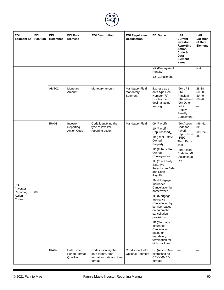

| EDI<br><b>Segment ID</b>                                | <b>EDI</b><br><b>Position</b> | <b>EDI</b><br>Reference | <b>EDI Data</b><br><b>Element</b>           | <b>EDI Description</b>                                                         | <b>EDI Requirement</b><br>Designation               | <b>EDI Value</b>                                                                                                                                                                                                                                                                                                                                                                                                                                                                                     | <b>LAR</b><br>Current<br>Investor<br>Reporting<br><b>Action</b><br>Code &<br>Data<br><b>Element</b><br>Name                                  | LAR<br>Location<br>of Data<br>Element |
|---------------------------------------------------------|-------------------------------|-------------------------|---------------------------------------------|--------------------------------------------------------------------------------|-----------------------------------------------------|------------------------------------------------------------------------------------------------------------------------------------------------------------------------------------------------------------------------------------------------------------------------------------------------------------------------------------------------------------------------------------------------------------------------------------------------------------------------------------------------------|----------------------------------------------------------------------------------------------------------------------------------------------|---------------------------------------|
|                                                         |                               |                         |                                             |                                                                                |                                                     | YK (Prepayment<br>Penalty)<br>YJ (Curtailment                                                                                                                                                                                                                                                                                                                                                                                                                                                        |                                                                                                                                              | N/A                                   |
|                                                         |                               | AMT02                   | Monetary<br>Amount                          | Monetary amount                                                                | Mandatory Field<br>Mandatory<br>Segment             | Express as a<br>data type Real<br>Number "R".<br>Display the<br>decimal point<br>and sign                                                                                                                                                                                                                                                                                                                                                                                                            | (96) UPB<br>(96)<br>Principal<br>(96) Interest<br>(96) Other<br>Fees<br>Prepay<br>Penalty<br>Curtailment                                     | 28-38<br>50-60<br>39-49<br>69-76      |
| <b>IRA</b><br>(Investor<br>Reporting<br>Action<br>Code) | 080                           | IRA01                   | Investor<br>Reporting<br><b>Action Code</b> | Code identifying the<br>type of investor<br>reporting action                   | Mandatory Field                                     | 09 (Payoff)<br>10 (Payoff $-$<br>Repurchased_<br>1B (Real Estate<br>Owned<br>Property_<br>1D (FHA or VA<br>Owned<br>Conveyance)<br>1H (Third Party<br>Sale, Pre-<br>Foreclosure Sale<br>and Short<br>Payoff)<br>1M (Mortgage<br>Insurance<br>Cancellation by<br>homeowner<br>1O (Mortgage<br>Insurance<br>Cancellation by<br>servicer based<br>on automatic<br>cancellation<br>provisions<br>1P (Mortgage<br>Insurance<br>Cancellation<br>based on<br>mandatory<br>termination for<br>high risk loan | (96) Action<br>Code for<br>Payoff,<br>Repurchase<br>, REO,<br><b>Third Party</b><br>sale<br>(89) Action<br>Code for MI<br>Discontinua<br>nce | $(96) 61 -$<br>62<br>$(89)$ 24-<br>25 |
|                                                         |                               | IRA02                   | Date Time<br>Period Format<br>Qualifier     | Code indicating the<br>date format, time<br>format, or date and time<br>format | <b>Conditional Field</b><br><b>Optional Segment</b> | D8 (Action Date<br>expressed as<br><b>CCYYMMDD</b><br>format)                                                                                                                                                                                                                                                                                                                                                                                                                                        |                                                                                                                                              |                                       |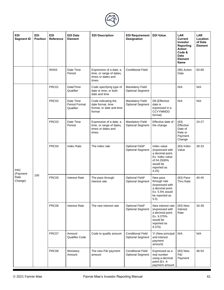

| <b>EDI</b><br><b>Segment ID</b> | <b>EDI</b><br><b>Position</b> | <b>EDI</b><br>Reference | <b>EDI Data</b><br><b>Element</b>              | <b>EDI Description</b>                                                             | <b>EDI Requirement</b><br><b>Designation</b>        | <b>EDI Value</b>                                                                                                         | <b>LAR</b><br><b>Current</b><br>Investor<br>Reporting<br><b>Action</b><br>Code &<br><b>Data</b><br><b>Element</b><br>Name | <b>LAR</b><br>Location<br>of Data<br>Element |
|---------------------------------|-------------------------------|-------------------------|------------------------------------------------|------------------------------------------------------------------------------------|-----------------------------------------------------|--------------------------------------------------------------------------------------------------------------------------|---------------------------------------------------------------------------------------------------------------------------|----------------------------------------------|
|                                 |                               | IRA03                   | Date Time<br>Period                            | Expression of a date, a<br>time, or range of dates,<br>times or dates and<br>times | <b>Conditional Field</b>                            |                                                                                                                          | (96) Action<br>Date                                                                                                       | 63-68                                        |
|                                 |                               | PRC01                   | Date/Time<br>Qualifier                         | Code specifying type of<br>date or time, or both<br>date and time                  | <b>Mandatory Field</b><br><b>Optional Segment</b>   |                                                                                                                          | N/A                                                                                                                       | N/A                                          |
|                                 |                               | PRC02                   | Date Time<br><b>Period Format</b><br>Qualifier | Code indicating the<br>date format, time<br>format, or date and time<br>format     | Mandatory Field<br><b>Optional Segment</b>          | D8 (Effective<br>date is<br>expressed in a<br><b>CCYYMMDD</b><br>format)                                                 | N/A                                                                                                                       | N/A                                          |
|                                 |                               | PRC03                   | Date Time<br>Period                            | Expression of a date, a<br>time, or range of dates,<br>times or dates and<br>times | Mandatory Field<br><b>Optional Segment</b>          | Effective date of<br>the change                                                                                          | (83)<br>Effective<br>Date of<br>Rate or<br>Payment<br>Change                                                              | 24-27                                        |
| <b>PRC</b>                      |                               | PRC04                   | Index Rate                                     | The index rate                                                                     | Optional Field*<br><b>Optional Segment</b>          | Index value<br>(expressed with<br>a decimal point.<br>Ex. Index value<br>of 04.2500%<br>would be<br>reported as<br>4.25) | $(83)$ Index<br>Value                                                                                                     | 28-33                                        |
| (Payment<br>Rate<br>Change)     | 100                           | PRC05                   | <b>Interest Rate</b>                           | The pass through<br>interest rate                                                  | Optional Field*<br><b>Optional Segment</b>          | New pass<br>through rate<br>(expressed with<br>a decimal point.<br>Ex. 5.5% would<br>be reported as<br>5.5)              | (83) Pass-<br>Thru Rate                                                                                                   | 40-45                                        |
|                                 |                               | PRC06                   | <b>Interest Rate</b>                           | The new interest rate                                                              | Optional Field*<br><b>Optional Segment</b>          | New interest rate<br>(expressed with<br>a decimal point.<br>Ex. 9.375%<br>would be<br>reported as<br>9.375)              | (83) New<br>Interest<br>Rate                                                                                              | 34-39                                        |
|                                 |                               | PRC07                   | Amount<br><b>Qualifier Code</b>                | Code to qualify amount                                                             | <b>Conditional Field</b><br><b>Optional Segment</b> | YI (New principal<br>and interest<br>payment<br>amount)                                                                  | N/A                                                                                                                       | N/A                                          |
|                                 |                               | PRC08                   | Monetary<br>Amount                             | The new P&I payment<br>amount                                                      | <b>Conditional Field</b><br><b>Optional Segment</b> | Expressed as a<br>real number<br>using a decimal<br>point (Ex. A<br>payment amount                                       | (83) New<br>P&I<br>Payment                                                                                                | 46-54                                        |